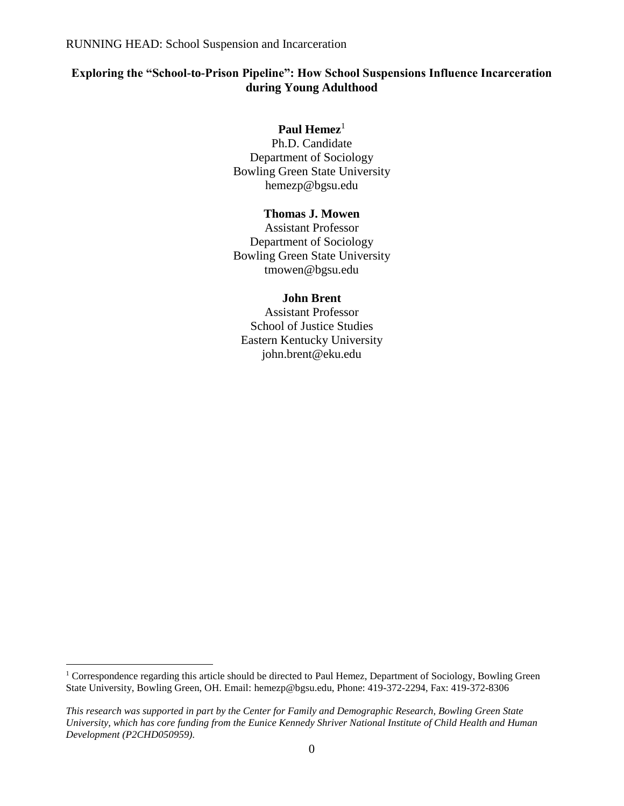# **Exploring the "School-to-Prison Pipeline": How School Suspensions Influence Incarceration during Young Adulthood**

# Paul Hemez<sup>1</sup>

Ph.D. Candidate Department of Sociology Bowling Green State University hemezp@bgsu.edu

# **Thomas J. Mowen**

Assistant Professor Department of Sociology Bowling Green State University tmowen@bgsu.edu

# **John Brent**

Assistant Professor School of Justice Studies Eastern Kentucky University john.brent@eku.edu

 $\overline{a}$ 

*This research was supported in part by the Center for Family and Demographic Research, Bowling Green State University, which has core funding from the Eunice Kennedy Shriver National Institute of Child Health and Human Development (P2CHD050959).*

<sup>&</sup>lt;sup>1</sup> Correspondence regarding this article should be directed to Paul Hemez, Department of Sociology, Bowling Green State University, Bowling Green, OH. Email: hemezp@bgsu.edu, Phone: 419-372-2294, Fax: 419-372-8306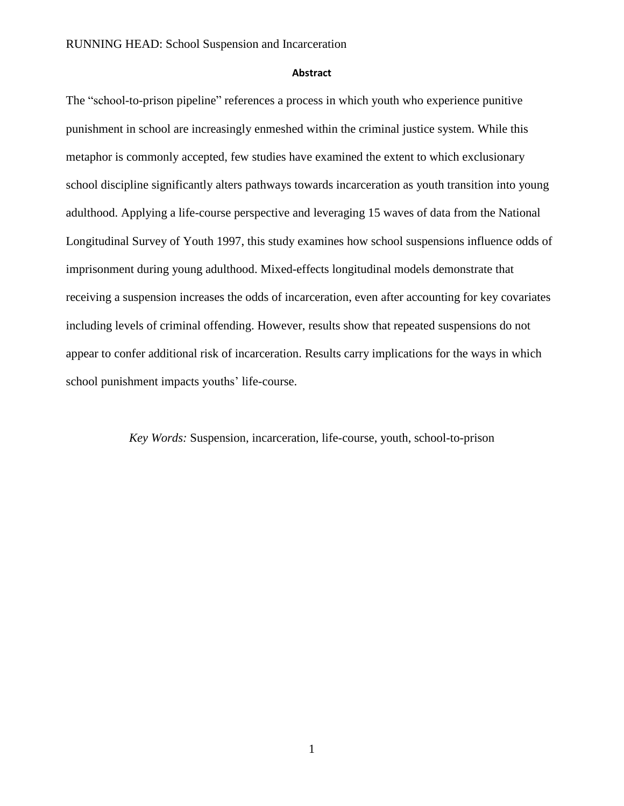### **Abstract**

The "school-to-prison pipeline" references a process in which youth who experience punitive punishment in school are increasingly enmeshed within the criminal justice system. While this metaphor is commonly accepted, few studies have examined the extent to which exclusionary school discipline significantly alters pathways towards incarceration as youth transition into young adulthood. Applying a life-course perspective and leveraging 15 waves of data from the National Longitudinal Survey of Youth 1997, this study examines how school suspensions influence odds of imprisonment during young adulthood. Mixed-effects longitudinal models demonstrate that receiving a suspension increases the odds of incarceration, even after accounting for key covariates including levels of criminal offending. However, results show that repeated suspensions do not appear to confer additional risk of incarceration. Results carry implications for the ways in which school punishment impacts youths' life-course.

*Key Words:* Suspension, incarceration, life-course, youth, school-to-prison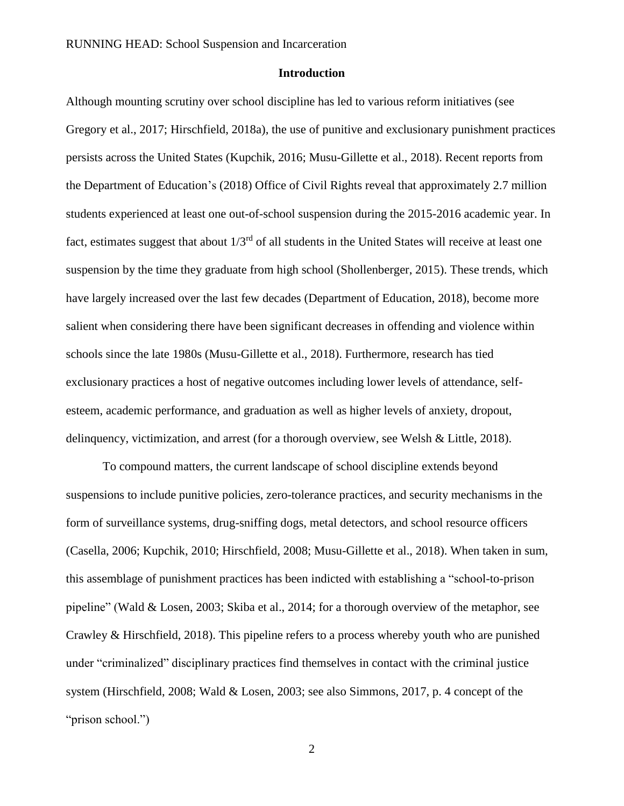# **Introduction**

Although mounting scrutiny over school discipline has led to various reform initiatives (see Gregory et al., 2017; Hirschfield, 2018a), the use of punitive and exclusionary punishment practices persists across the United States (Kupchik, 2016; Musu-Gillette et al., 2018). Recent reports from the Department of Education's (2018) Office of Civil Rights reveal that approximately 2.7 million students experienced at least one out-of-school suspension during the 2015-2016 academic year. In fact, estimates suggest that about  $1/3^{rd}$  of all students in the United States will receive at least one suspension by the time they graduate from high school (Shollenberger, 2015). These trends, which have largely increased over the last few decades (Department of Education, 2018), become more salient when considering there have been significant decreases in offending and violence within schools since the late 1980s (Musu-Gillette et al., 2018). Furthermore, research has tied exclusionary practices a host of negative outcomes including lower levels of attendance, selfesteem, academic performance, and graduation as well as higher levels of anxiety, dropout, delinquency, victimization, and arrest (for a thorough overview, see Welsh & Little, 2018).

To compound matters, the current landscape of school discipline extends beyond suspensions to include punitive policies, zero-tolerance practices, and security mechanisms in the form of surveillance systems, drug-sniffing dogs, metal detectors, and school resource officers (Casella, 2006; Kupchik, 2010; Hirschfield, 2008; Musu-Gillette et al., 2018). When taken in sum, this assemblage of punishment practices has been indicted with establishing a "school-to-prison pipeline" (Wald & Losen, 2003; Skiba et al., 2014; for a thorough overview of the metaphor, see Crawley & Hirschfield, 2018). This pipeline refers to a process whereby youth who are punished under "criminalized" disciplinary practices find themselves in contact with the criminal justice system (Hirschfield, 2008; Wald & Losen, 2003; see also Simmons, 2017, p. 4 concept of the "prison school.")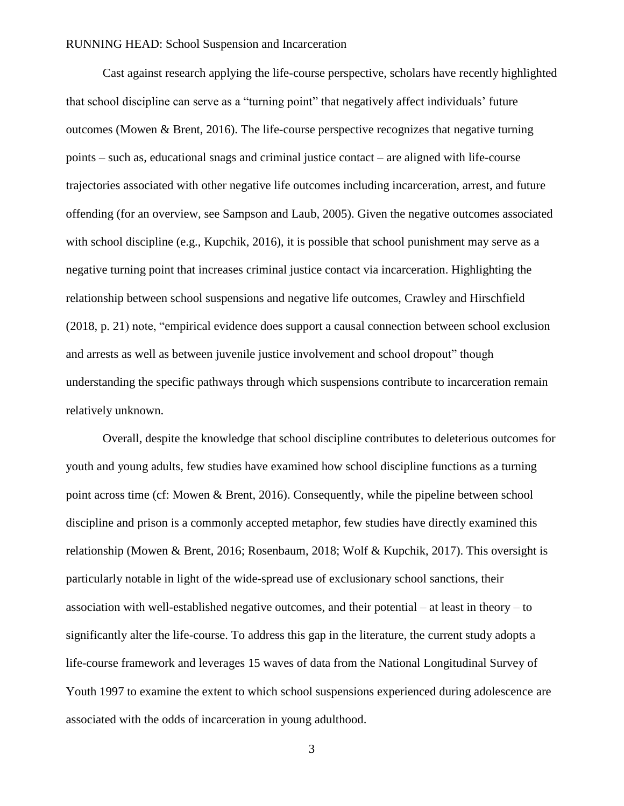Cast against research applying the life-course perspective, scholars have recently highlighted that school discipline can serve as a "turning point" that negatively affect individuals' future outcomes (Mowen & Brent, 2016). The life-course perspective recognizes that negative turning points – such as, educational snags and criminal justice contact – are aligned with life-course trajectories associated with other negative life outcomes including incarceration, arrest, and future offending (for an overview, see Sampson and Laub, 2005). Given the negative outcomes associated with school discipline (e.g., Kupchik, 2016), it is possible that school punishment may serve as a negative turning point that increases criminal justice contact via incarceration. Highlighting the relationship between school suspensions and negative life outcomes, Crawley and Hirschfield (2018, p. 21) note, "empirical evidence does support a causal connection between school exclusion and arrests as well as between juvenile justice involvement and school dropout" though understanding the specific pathways through which suspensions contribute to incarceration remain relatively unknown.

Overall, despite the knowledge that school discipline contributes to deleterious outcomes for youth and young adults, few studies have examined how school discipline functions as a turning point across time (cf: Mowen & Brent, 2016). Consequently, while the pipeline between school discipline and prison is a commonly accepted metaphor, few studies have directly examined this relationship (Mowen & Brent, 2016; Rosenbaum, 2018; Wolf & Kupchik, 2017). This oversight is particularly notable in light of the wide-spread use of exclusionary school sanctions, their association with well-established negative outcomes, and their potential – at least in theory – to significantly alter the life-course. To address this gap in the literature, the current study adopts a life-course framework and leverages 15 waves of data from the National Longitudinal Survey of Youth 1997 to examine the extent to which school suspensions experienced during adolescence are associated with the odds of incarceration in young adulthood.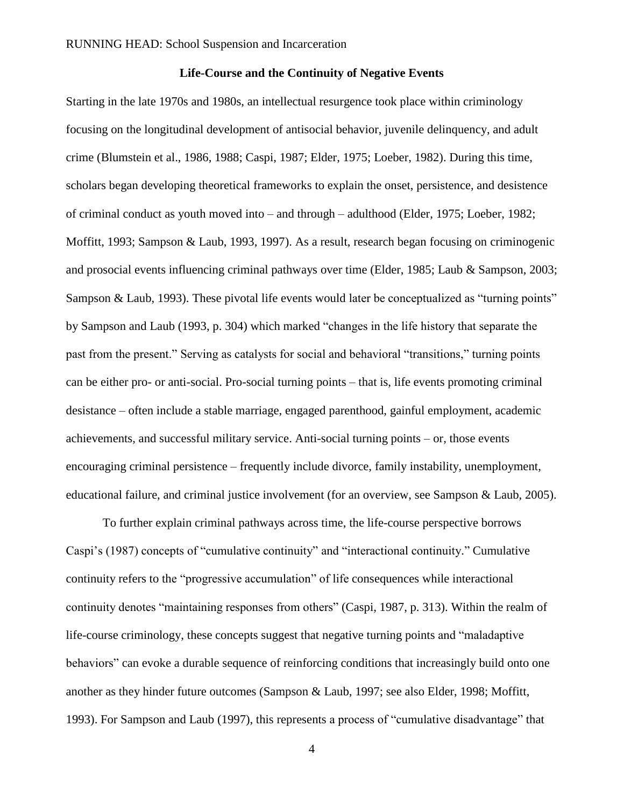# **Life-Course and the Continuity of Negative Events**

Starting in the late 1970s and 1980s, an intellectual resurgence took place within criminology focusing on the longitudinal development of antisocial behavior, juvenile delinquency, and adult crime (Blumstein et al., 1986, 1988; Caspi, 1987; Elder, 1975; Loeber, 1982). During this time, scholars began developing theoretical frameworks to explain the onset, persistence, and desistence of criminal conduct as youth moved into – and through – adulthood (Elder, 1975; Loeber, 1982; Moffitt, 1993; Sampson & Laub, 1993, 1997). As a result, research began focusing on criminogenic and prosocial events influencing criminal pathways over time (Elder, 1985; Laub & Sampson, 2003; Sampson & Laub, 1993). These pivotal life events would later be conceptualized as "turning points" by Sampson and Laub (1993, p. 304) which marked "changes in the life history that separate the past from the present." Serving as catalysts for social and behavioral "transitions," turning points can be either pro- or anti-social. Pro-social turning points – that is, life events promoting criminal desistance – often include a stable marriage, engaged parenthood, gainful employment, academic achievements, and successful military service. Anti-social turning points – or, those events encouraging criminal persistence – frequently include divorce, family instability, unemployment, educational failure, and criminal justice involvement (for an overview, see Sampson & Laub, 2005).

To further explain criminal pathways across time, the life-course perspective borrows Caspi's (1987) concepts of "cumulative continuity" and "interactional continuity." Cumulative continuity refers to the "progressive accumulation" of life consequences while interactional continuity denotes "maintaining responses from others" (Caspi, 1987, p. 313). Within the realm of life-course criminology, these concepts suggest that negative turning points and "maladaptive behaviors" can evoke a durable sequence of reinforcing conditions that increasingly build onto one another as they hinder future outcomes (Sampson & Laub, 1997; see also Elder, 1998; Moffitt, 1993). For Sampson and Laub (1997), this represents a process of "cumulative disadvantage" that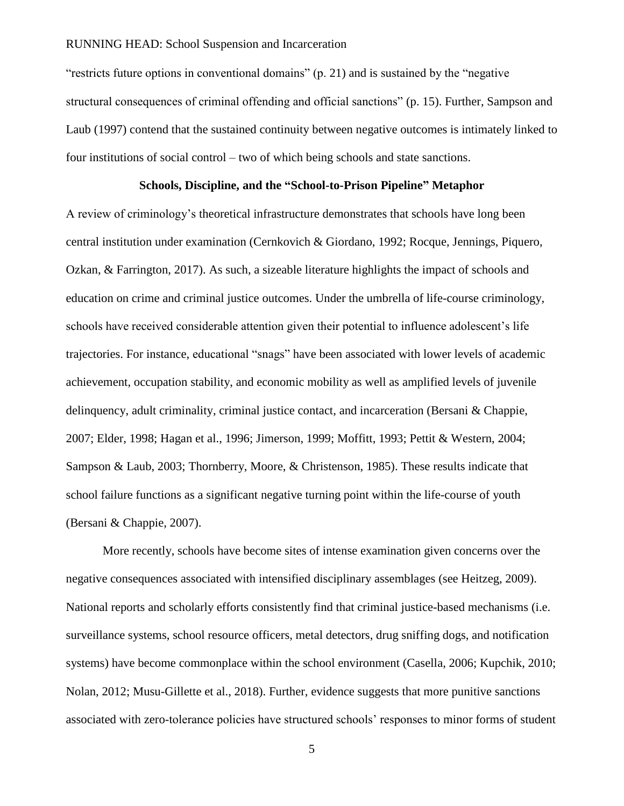"restricts future options in conventional domains" (p. 21) and is sustained by the "negative structural consequences of criminal offending and official sanctions" (p. 15). Further, Sampson and Laub (1997) contend that the sustained continuity between negative outcomes is intimately linked to four institutions of social control – two of which being schools and state sanctions.

# **Schools, Discipline, and the "School-to-Prison Pipeline" Metaphor**

A review of criminology's theoretical infrastructure demonstrates that schools have long been central institution under examination (Cernkovich & Giordano, 1992; Rocque, Jennings, Piquero, Ozkan, & Farrington, 2017). As such, a sizeable literature highlights the impact of schools and education on crime and criminal justice outcomes. Under the umbrella of life-course criminology, schools have received considerable attention given their potential to influence adolescent's life trajectories. For instance, educational "snags" have been associated with lower levels of academic achievement, occupation stability, and economic mobility as well as amplified levels of juvenile delinquency, adult criminality, criminal justice contact, and incarceration (Bersani & Chappie, 2007; Elder, 1998; Hagan et al., 1996; Jimerson, 1999; Moffitt, 1993; Pettit & Western, 2004; Sampson & Laub, 2003; Thornberry, Moore, & Christenson, 1985). These results indicate that school failure functions as a significant negative turning point within the life-course of youth (Bersani & Chappie, 2007).

More recently, schools have become sites of intense examination given concerns over the negative consequences associated with intensified disciplinary assemblages (see Heitzeg, 2009). National reports and scholarly efforts consistently find that criminal justice-based mechanisms (i.e. surveillance systems, school resource officers, metal detectors, drug sniffing dogs, and notification systems) have become commonplace within the school environment (Casella, 2006; Kupchik, 2010; Nolan, 2012; Musu-Gillette et al., 2018). Further, evidence suggests that more punitive sanctions associated with zero-tolerance policies have structured schools' responses to minor forms of student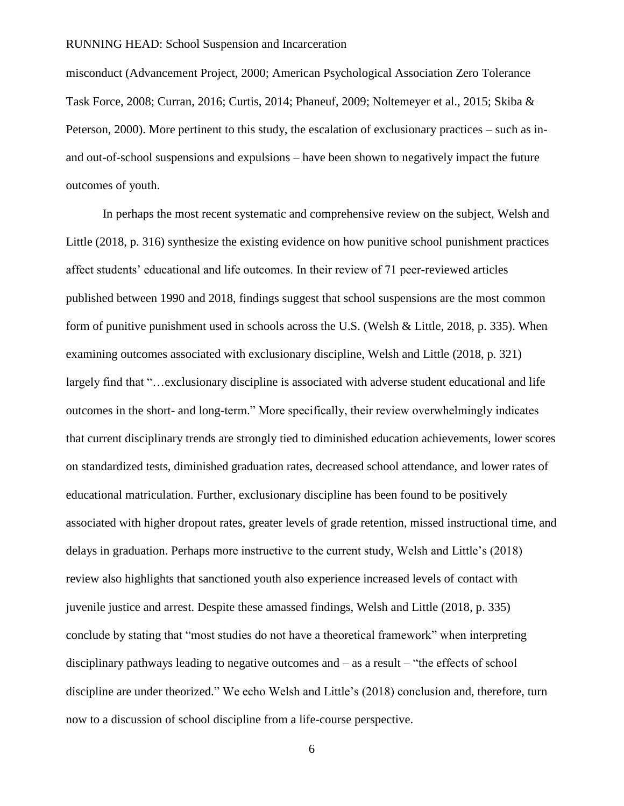misconduct (Advancement Project, 2000; American Psychological Association Zero Tolerance Task Force, 2008; Curran, 2016; Curtis, 2014; Phaneuf, 2009; Noltemeyer et al., 2015; Skiba & Peterson, 2000). More pertinent to this study, the escalation of exclusionary practices – such as inand out-of-school suspensions and expulsions – have been shown to negatively impact the future outcomes of youth.

In perhaps the most recent systematic and comprehensive review on the subject, Welsh and Little (2018, p. 316) synthesize the existing evidence on how punitive school punishment practices affect students' educational and life outcomes. In their review of 71 peer-reviewed articles published between 1990 and 2018, findings suggest that school suspensions are the most common form of punitive punishment used in schools across the U.S. (Welsh & Little, 2018, p. 335). When examining outcomes associated with exclusionary discipline, Welsh and Little (2018, p. 321) largely find that "...exclusionary discipline is associated with adverse student educational and life outcomes in the short- and long-term." More specifically, their review overwhelmingly indicates that current disciplinary trends are strongly tied to diminished education achievements, lower scores on standardized tests, diminished graduation rates, decreased school attendance, and lower rates of educational matriculation. Further, exclusionary discipline has been found to be positively associated with higher dropout rates, greater levels of grade retention, missed instructional time, and delays in graduation. Perhaps more instructive to the current study, Welsh and Little's (2018) review also highlights that sanctioned youth also experience increased levels of contact with juvenile justice and arrest. Despite these amassed findings, Welsh and Little (2018, p. 335) conclude by stating that "most studies do not have a theoretical framework" when interpreting disciplinary pathways leading to negative outcomes and – as a result – "the effects of school discipline are under theorized." We echo Welsh and Little's (2018) conclusion and, therefore, turn now to a discussion of school discipline from a life-course perspective.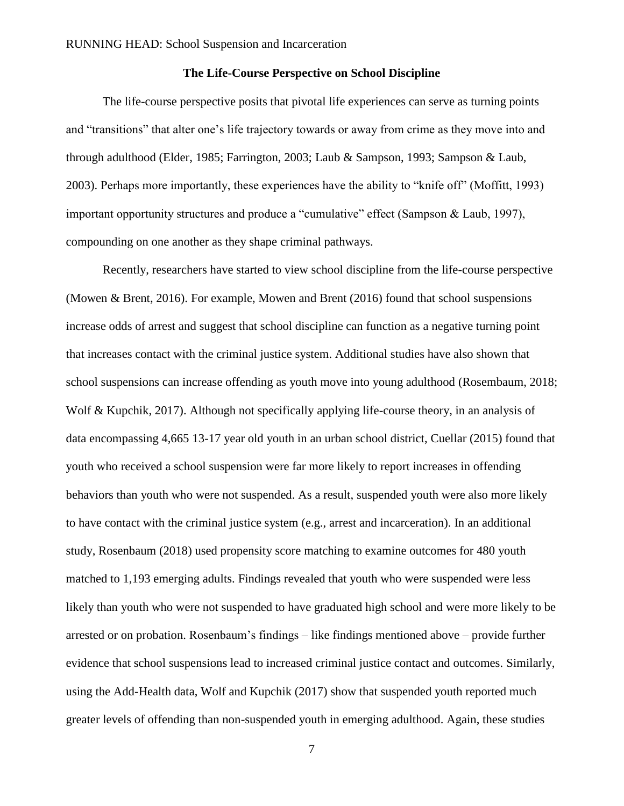# **The Life-Course Perspective on School Discipline**

The life-course perspective posits that pivotal life experiences can serve as turning points and "transitions" that alter one's life trajectory towards or away from crime as they move into and through adulthood (Elder, 1985; Farrington, 2003; Laub & Sampson, 1993; Sampson & Laub, 2003). Perhaps more importantly, these experiences have the ability to "knife off" (Moffitt, 1993) important opportunity structures and produce a "cumulative" effect (Sampson & Laub, 1997), compounding on one another as they shape criminal pathways.

Recently, researchers have started to view school discipline from the life-course perspective (Mowen & Brent, 2016). For example, Mowen and Brent (2016) found that school suspensions increase odds of arrest and suggest that school discipline can function as a negative turning point that increases contact with the criminal justice system. Additional studies have also shown that school suspensions can increase offending as youth move into young adulthood (Rosembaum, 2018; Wolf & Kupchik, 2017). Although not specifically applying life-course theory, in an analysis of data encompassing 4,665 13-17 year old youth in an urban school district, Cuellar (2015) found that youth who received a school suspension were far more likely to report increases in offending behaviors than youth who were not suspended. As a result, suspended youth were also more likely to have contact with the criminal justice system (e.g., arrest and incarceration). In an additional study, Rosenbaum (2018) used propensity score matching to examine outcomes for 480 youth matched to 1,193 emerging adults. Findings revealed that youth who were suspended were less likely than youth who were not suspended to have graduated high school and were more likely to be arrested or on probation. Rosenbaum's findings – like findings mentioned above – provide further evidence that school suspensions lead to increased criminal justice contact and outcomes. Similarly, using the Add-Health data, Wolf and Kupchik (2017) show that suspended youth reported much greater levels of offending than non-suspended youth in emerging adulthood. Again, these studies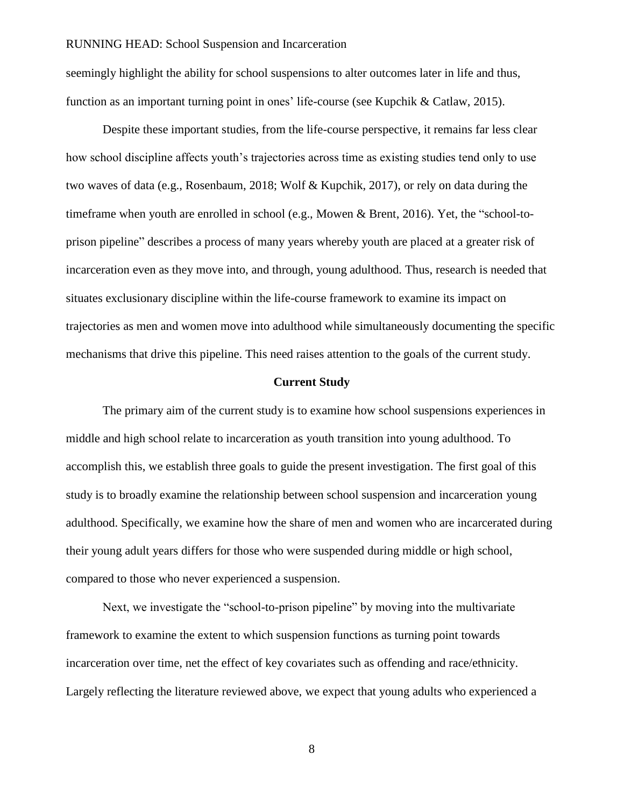seemingly highlight the ability for school suspensions to alter outcomes later in life and thus, function as an important turning point in ones' life-course (see Kupchik & Catlaw, 2015).

Despite these important studies, from the life-course perspective, it remains far less clear how school discipline affects youth's trajectories across time as existing studies tend only to use two waves of data (e.g., Rosenbaum, 2018; Wolf & Kupchik, 2017), or rely on data during the timeframe when youth are enrolled in school (e.g., Mowen & Brent, 2016). Yet, the "school-toprison pipeline" describes a process of many years whereby youth are placed at a greater risk of incarceration even as they move into, and through, young adulthood. Thus, research is needed that situates exclusionary discipline within the life-course framework to examine its impact on trajectories as men and women move into adulthood while simultaneously documenting the specific mechanisms that drive this pipeline. This need raises attention to the goals of the current study.

#### **Current Study**

The primary aim of the current study is to examine how school suspensions experiences in middle and high school relate to incarceration as youth transition into young adulthood. To accomplish this, we establish three goals to guide the present investigation. The first goal of this study is to broadly examine the relationship between school suspension and incarceration young adulthood. Specifically, we examine how the share of men and women who are incarcerated during their young adult years differs for those who were suspended during middle or high school, compared to those who never experienced a suspension.

Next, we investigate the "school-to-prison pipeline" by moving into the multivariate framework to examine the extent to which suspension functions as turning point towards incarceration over time, net the effect of key covariates such as offending and race/ethnicity. Largely reflecting the literature reviewed above, we expect that young adults who experienced a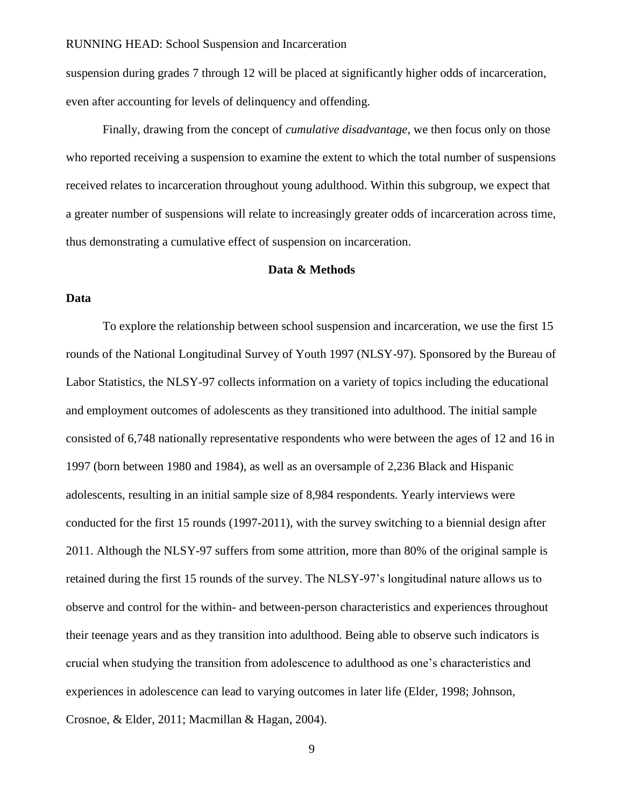suspension during grades 7 through 12 will be placed at significantly higher odds of incarceration, even after accounting for levels of delinquency and offending.

Finally, drawing from the concept of *cumulative disadvantage*, we then focus only on those who reported receiving a suspension to examine the extent to which the total number of suspensions received relates to incarceration throughout young adulthood. Within this subgroup, we expect that a greater number of suspensions will relate to increasingly greater odds of incarceration across time, thus demonstrating a cumulative effect of suspension on incarceration.

# **Data & Methods**

# **Data**

To explore the relationship between school suspension and incarceration, we use the first 15 rounds of the National Longitudinal Survey of Youth 1997 (NLSY-97). Sponsored by the Bureau of Labor Statistics, the NLSY-97 collects information on a variety of topics including the educational and employment outcomes of adolescents as they transitioned into adulthood. The initial sample consisted of 6,748 nationally representative respondents who were between the ages of 12 and 16 in 1997 (born between 1980 and 1984), as well as an oversample of 2,236 Black and Hispanic adolescents, resulting in an initial sample size of 8,984 respondents. Yearly interviews were conducted for the first 15 rounds (1997-2011), with the survey switching to a biennial design after 2011. Although the NLSY-97 suffers from some attrition, more than 80% of the original sample is retained during the first 15 rounds of the survey. The NLSY-97's longitudinal nature allows us to observe and control for the within- and between-person characteristics and experiences throughout their teenage years and as they transition into adulthood. Being able to observe such indicators is crucial when studying the transition from adolescence to adulthood as one's characteristics and experiences in adolescence can lead to varying outcomes in later life (Elder, 1998; Johnson, Crosnoe, & Elder, 2011; Macmillan & Hagan, 2004).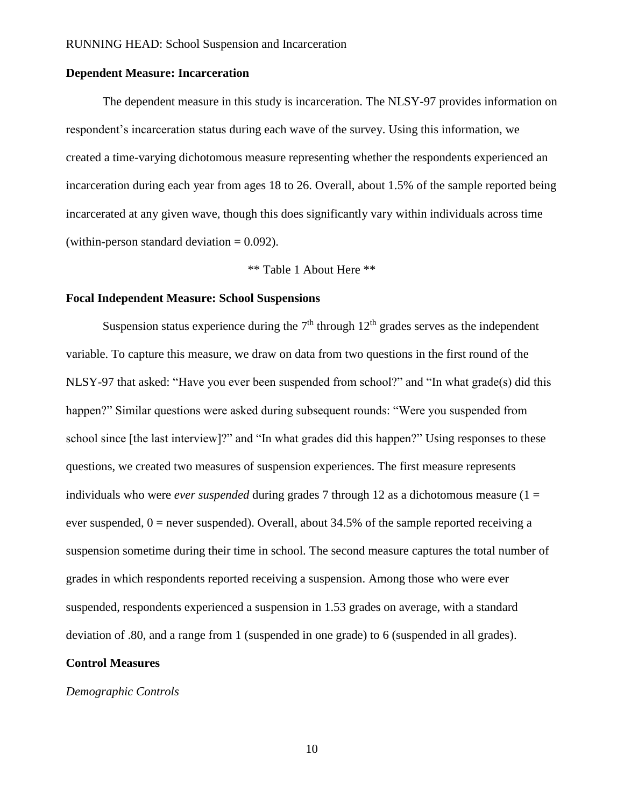# **Dependent Measure: Incarceration**

The dependent measure in this study is incarceration. The NLSY-97 provides information on respondent's incarceration status during each wave of the survey. Using this information, we created a time-varying dichotomous measure representing whether the respondents experienced an incarceration during each year from ages 18 to 26. Overall, about 1.5% of the sample reported being incarcerated at any given wave, though this does significantly vary within individuals across time (within-person standard deviation  $= 0.092$ ).

\*\* Table 1 About Here \*\*

### **Focal Independent Measure: School Suspensions**

Suspension status experience during the  $7<sup>th</sup>$  through  $12<sup>th</sup>$  grades serves as the independent variable. To capture this measure, we draw on data from two questions in the first round of the NLSY-97 that asked: "Have you ever been suspended from school?" and "In what grade(s) did this happen?" Similar questions were asked during subsequent rounds: "Were you suspended from school since [the last interview]?" and "In what grades did this happen?" Using responses to these questions, we created two measures of suspension experiences. The first measure represents individuals who were *ever suspended* during grades 7 through 12 as a dichotomous measure (1 = ever suspended,  $0 =$  never suspended). Overall, about 34.5% of the sample reported receiving a suspension sometime during their time in school. The second measure captures the total number of grades in which respondents reported receiving a suspension. Among those who were ever suspended, respondents experienced a suspension in 1.53 grades on average, with a standard deviation of .80, and a range from 1 (suspended in one grade) to 6 (suspended in all grades).

### **Control Measures**

#### *Demographic Controls*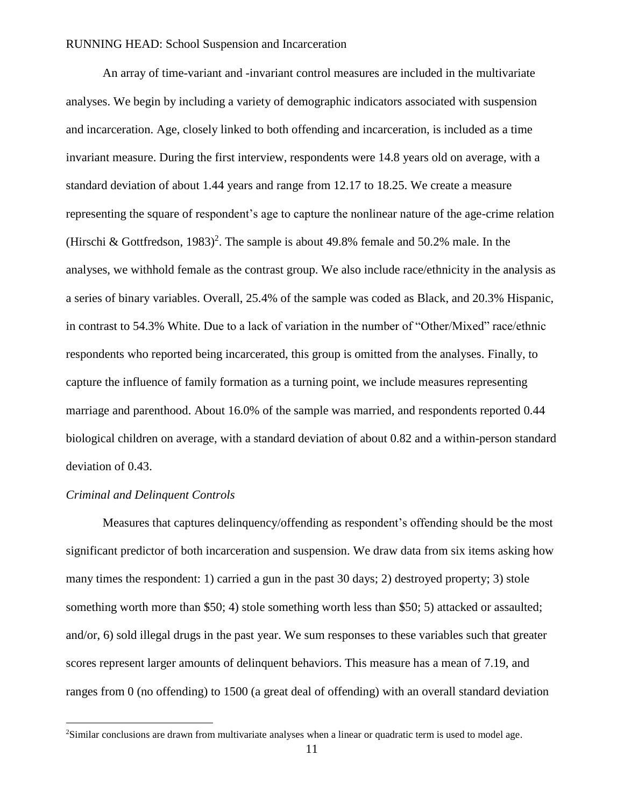An array of time-variant and -invariant control measures are included in the multivariate analyses. We begin by including a variety of demographic indicators associated with suspension and incarceration. Age, closely linked to both offending and incarceration, is included as a time invariant measure. During the first interview, respondents were 14.8 years old on average, with a standard deviation of about 1.44 years and range from 12.17 to 18.25. We create a measure representing the square of respondent's age to capture the nonlinear nature of the age-crime relation (Hirschi & Gottfredson, 1983)<sup>2</sup>. The sample is about 49.8% female and 50.2% male. In the analyses, we withhold female as the contrast group. We also include race/ethnicity in the analysis as a series of binary variables. Overall, 25.4% of the sample was coded as Black, and 20.3% Hispanic, in contrast to 54.3% White. Due to a lack of variation in the number of "Other/Mixed" race/ethnic respondents who reported being incarcerated, this group is omitted from the analyses. Finally, to capture the influence of family formation as a turning point, we include measures representing marriage and parenthood. About 16.0% of the sample was married, and respondents reported 0.44 biological children on average, with a standard deviation of about 0.82 and a within-person standard deviation of 0.43.

### *Criminal and Delinquent Controls*

 $\ddot{\phantom{a}}$ 

Measures that captures delinquency/offending as respondent's offending should be the most significant predictor of both incarceration and suspension. We draw data from six items asking how many times the respondent: 1) carried a gun in the past 30 days; 2) destroyed property; 3) stole something worth more than \$50; 4) stole something worth less than \$50; 5) attacked or assaulted; and/or, 6) sold illegal drugs in the past year. We sum responses to these variables such that greater scores represent larger amounts of delinquent behaviors. This measure has a mean of 7.19, and ranges from 0 (no offending) to 1500 (a great deal of offending) with an overall standard deviation

<sup>2</sup>Similar conclusions are drawn from multivariate analyses when a linear or quadratic term is used to model age.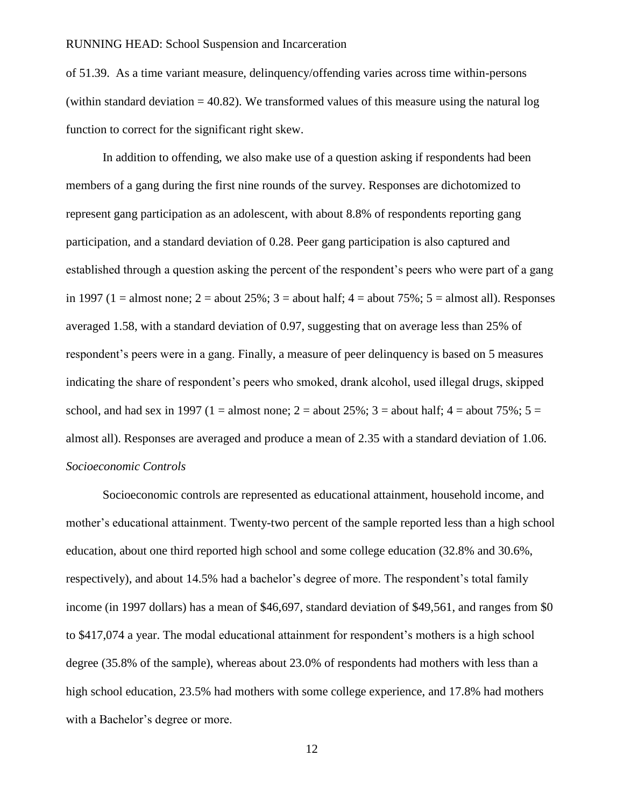of 51.39. As a time variant measure, delinquency/offending varies across time within-persons (within standard deviation  $= 40.82$ ). We transformed values of this measure using the natural log function to correct for the significant right skew.

In addition to offending, we also make use of a question asking if respondents had been members of a gang during the first nine rounds of the survey. Responses are dichotomized to represent gang participation as an adolescent, with about 8.8% of respondents reporting gang participation, and a standard deviation of 0.28. Peer gang participation is also captured and established through a question asking the percent of the respondent's peers who were part of a gang in 1997 (1 = almost none;  $2 =$  about  $25\%$ ;  $3 =$  about half;  $4 =$  about  $75\%$ ;  $5 =$  almost all). Responses averaged 1.58, with a standard deviation of 0.97, suggesting that on average less than 25% of respondent's peers were in a gang. Finally, a measure of peer delinquency is based on 5 measures indicating the share of respondent's peers who smoked, drank alcohol, used illegal drugs, skipped school, and had sex in 1997 (1 = almost none; 2 = about 25%; 3 = about half;  $4 =$  about 75%; 5 = almost all). Responses are averaged and produce a mean of 2.35 with a standard deviation of 1.06. *Socioeconomic Controls*

Socioeconomic controls are represented as educational attainment, household income, and mother's educational attainment. Twenty-two percent of the sample reported less than a high school education, about one third reported high school and some college education (32.8% and 30.6%, respectively), and about 14.5% had a bachelor's degree of more. The respondent's total family income (in 1997 dollars) has a mean of \$46,697, standard deviation of \$49,561, and ranges from \$0 to \$417,074 a year. The modal educational attainment for respondent's mothers is a high school degree (35.8% of the sample), whereas about 23.0% of respondents had mothers with less than a high school education, 23.5% had mothers with some college experience, and 17.8% had mothers with a Bachelor's degree or more.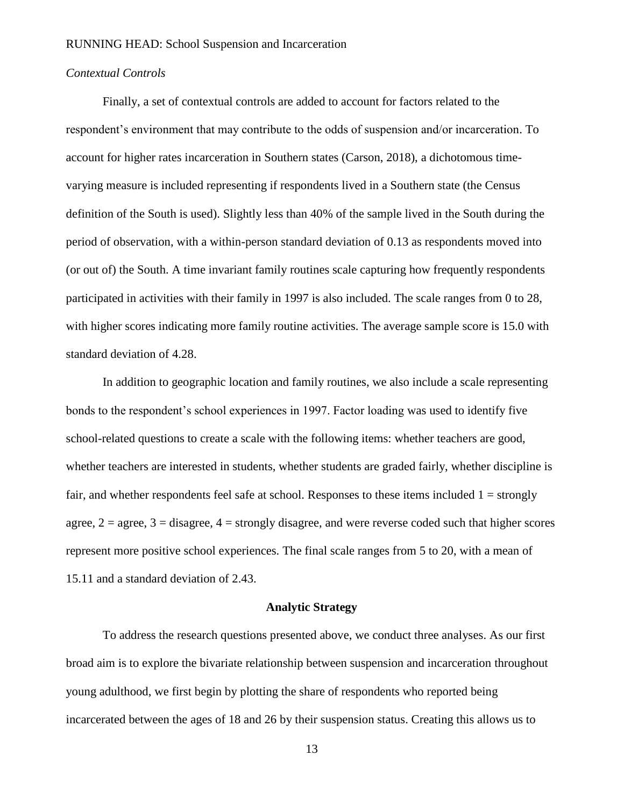# *Contextual Controls*

Finally, a set of contextual controls are added to account for factors related to the respondent's environment that may contribute to the odds of suspension and/or incarceration. To account for higher rates incarceration in Southern states (Carson, 2018), a dichotomous timevarying measure is included representing if respondents lived in a Southern state (the Census definition of the South is used). Slightly less than 40% of the sample lived in the South during the period of observation, with a within-person standard deviation of 0.13 as respondents moved into (or out of) the South. A time invariant family routines scale capturing how frequently respondents participated in activities with their family in 1997 is also included. The scale ranges from 0 to 28, with higher scores indicating more family routine activities. The average sample score is 15.0 with standard deviation of 4.28.

In addition to geographic location and family routines, we also include a scale representing bonds to the respondent's school experiences in 1997. Factor loading was used to identify five school-related questions to create a scale with the following items: whether teachers are good, whether teachers are interested in students, whether students are graded fairly, whether discipline is fair, and whether respondents feel safe at school. Responses to these items included  $1 =$  strongly agree,  $2 = \text{agree}$ ,  $3 = \text{disagree}$ ,  $4 = \text{strongly disagree}$ , and were reverse coded such that higher scores represent more positive school experiences. The final scale ranges from 5 to 20, with a mean of 15.11 and a standard deviation of 2.43.

### **Analytic Strategy**

To address the research questions presented above, we conduct three analyses. As our first broad aim is to explore the bivariate relationship between suspension and incarceration throughout young adulthood, we first begin by plotting the share of respondents who reported being incarcerated between the ages of 18 and 26 by their suspension status. Creating this allows us to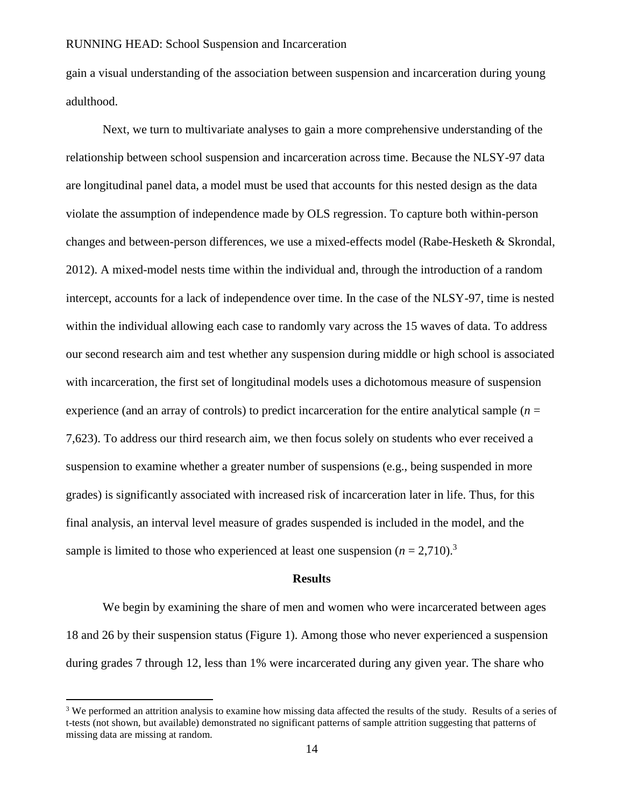gain a visual understanding of the association between suspension and incarceration during young adulthood.

Next, we turn to multivariate analyses to gain a more comprehensive understanding of the relationship between school suspension and incarceration across time. Because the NLSY-97 data are longitudinal panel data, a model must be used that accounts for this nested design as the data violate the assumption of independence made by OLS regression. To capture both within-person changes and between-person differences, we use a mixed-effects model (Rabe-Hesketh & Skrondal, 2012). A mixed-model nests time within the individual and, through the introduction of a random intercept, accounts for a lack of independence over time. In the case of the NLSY-97, time is nested within the individual allowing each case to randomly vary across the 15 waves of data. To address our second research aim and test whether any suspension during middle or high school is associated with incarceration, the first set of longitudinal models uses a dichotomous measure of suspension experience (and an array of controls) to predict incarceration for the entire analytical sample (*n* = 7,623). To address our third research aim, we then focus solely on students who ever received a suspension to examine whether a greater number of suspensions (e.g., being suspended in more grades) is significantly associated with increased risk of incarceration later in life. Thus, for this final analysis, an interval level measure of grades suspended is included in the model, and the sample is limited to those who experienced at least one suspension  $(n = 2,710)^3$ 

### **Results**

We begin by examining the share of men and women who were incarcerated between ages 18 and 26 by their suspension status (Figure 1). Among those who never experienced a suspension during grades 7 through 12, less than 1% were incarcerated during any given year. The share who

 $\overline{a}$ 

<sup>&</sup>lt;sup>3</sup> We performed an attrition analysis to examine how missing data affected the results of the study. Results of a series of t-tests (not shown, but available) demonstrated no significant patterns of sample attrition suggesting that patterns of missing data are missing at random.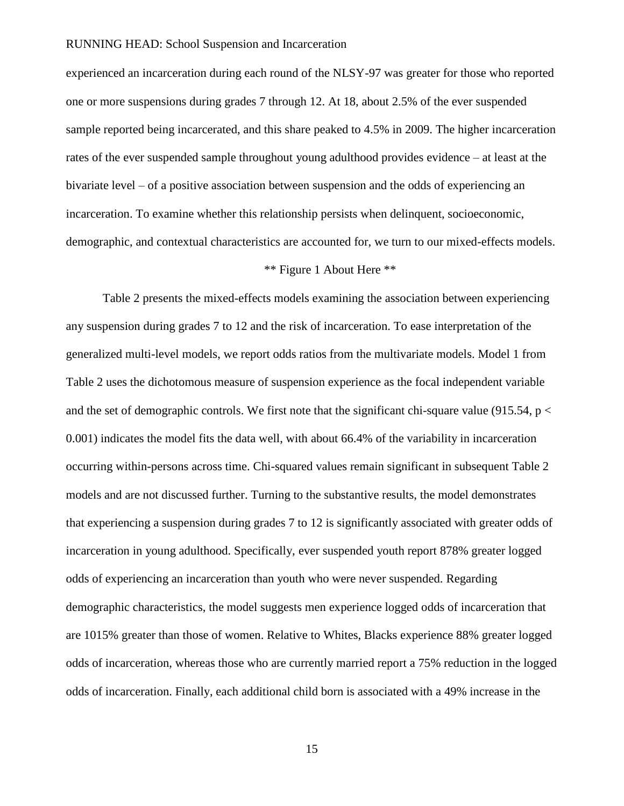experienced an incarceration during each round of the NLSY-97 was greater for those who reported one or more suspensions during grades 7 through 12. At 18, about 2.5% of the ever suspended sample reported being incarcerated, and this share peaked to 4.5% in 2009. The higher incarceration rates of the ever suspended sample throughout young adulthood provides evidence – at least at the bivariate level – of a positive association between suspension and the odds of experiencing an incarceration. To examine whether this relationship persists when delinquent, socioeconomic, demographic, and contextual characteristics are accounted for, we turn to our mixed-effects models.

# \*\* Figure 1 About Here \*\*

Table 2 presents the mixed-effects models examining the association between experiencing any suspension during grades 7 to 12 and the risk of incarceration. To ease interpretation of the generalized multi-level models, we report odds ratios from the multivariate models. Model 1 from Table 2 uses the dichotomous measure of suspension experience as the focal independent variable and the set of demographic controls. We first note that the significant chi-square value (915.54,  $p <$ 0.001) indicates the model fits the data well, with about 66.4% of the variability in incarceration occurring within-persons across time. Chi-squared values remain significant in subsequent Table 2 models and are not discussed further. Turning to the substantive results, the model demonstrates that experiencing a suspension during grades 7 to 12 is significantly associated with greater odds of incarceration in young adulthood. Specifically, ever suspended youth report 878% greater logged odds of experiencing an incarceration than youth who were never suspended. Regarding demographic characteristics, the model suggests men experience logged odds of incarceration that are 1015% greater than those of women. Relative to Whites, Blacks experience 88% greater logged odds of incarceration, whereas those who are currently married report a 75% reduction in the logged odds of incarceration. Finally, each additional child born is associated with a 49% increase in the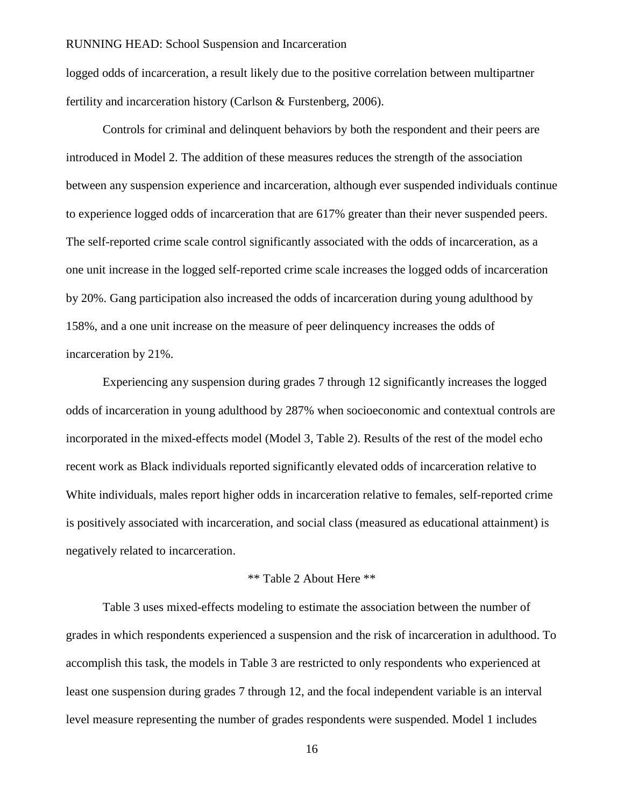logged odds of incarceration, a result likely due to the positive correlation between multipartner fertility and incarceration history (Carlson & Furstenberg, 2006).

Controls for criminal and delinquent behaviors by both the respondent and their peers are introduced in Model 2. The addition of these measures reduces the strength of the association between any suspension experience and incarceration, although ever suspended individuals continue to experience logged odds of incarceration that are 617% greater than their never suspended peers. The self-reported crime scale control significantly associated with the odds of incarceration, as a one unit increase in the logged self-reported crime scale increases the logged odds of incarceration by 20%. Gang participation also increased the odds of incarceration during young adulthood by 158%, and a one unit increase on the measure of peer delinquency increases the odds of incarceration by 21%.

Experiencing any suspension during grades 7 through 12 significantly increases the logged odds of incarceration in young adulthood by 287% when socioeconomic and contextual controls are incorporated in the mixed-effects model (Model 3, Table 2). Results of the rest of the model echo recent work as Black individuals reported significantly elevated odds of incarceration relative to White individuals, males report higher odds in incarceration relative to females, self-reported crime is positively associated with incarceration, and social class (measured as educational attainment) is negatively related to incarceration.

## \*\* Table 2 About Here \*\*

Table 3 uses mixed-effects modeling to estimate the association between the number of grades in which respondents experienced a suspension and the risk of incarceration in adulthood. To accomplish this task, the models in Table 3 are restricted to only respondents who experienced at least one suspension during grades 7 through 12, and the focal independent variable is an interval level measure representing the number of grades respondents were suspended. Model 1 includes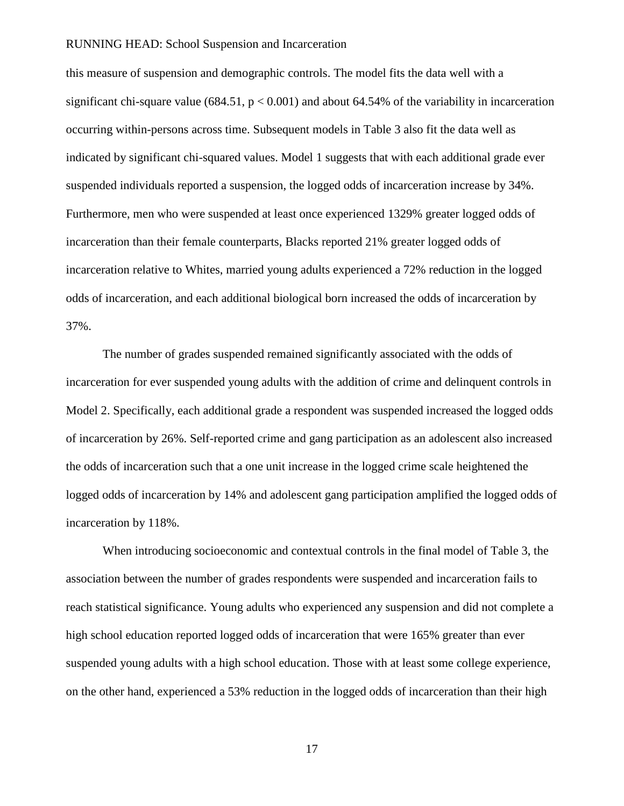this measure of suspension and demographic controls. The model fits the data well with a significant chi-square value (684.51,  $p < 0.001$ ) and about 64.54% of the variability in incarceration occurring within-persons across time. Subsequent models in Table 3 also fit the data well as indicated by significant chi-squared values. Model 1 suggests that with each additional grade ever suspended individuals reported a suspension, the logged odds of incarceration increase by 34%. Furthermore, men who were suspended at least once experienced 1329% greater logged odds of incarceration than their female counterparts, Blacks reported 21% greater logged odds of incarceration relative to Whites, married young adults experienced a 72% reduction in the logged odds of incarceration, and each additional biological born increased the odds of incarceration by 37%.

The number of grades suspended remained significantly associated with the odds of incarceration for ever suspended young adults with the addition of crime and delinquent controls in Model 2. Specifically, each additional grade a respondent was suspended increased the logged odds of incarceration by 26%. Self-reported crime and gang participation as an adolescent also increased the odds of incarceration such that a one unit increase in the logged crime scale heightened the logged odds of incarceration by 14% and adolescent gang participation amplified the logged odds of incarceration by 118%.

When introducing socioeconomic and contextual controls in the final model of Table 3, the association between the number of grades respondents were suspended and incarceration fails to reach statistical significance. Young adults who experienced any suspension and did not complete a high school education reported logged odds of incarceration that were 165% greater than ever suspended young adults with a high school education. Those with at least some college experience, on the other hand, experienced a 53% reduction in the logged odds of incarceration than their high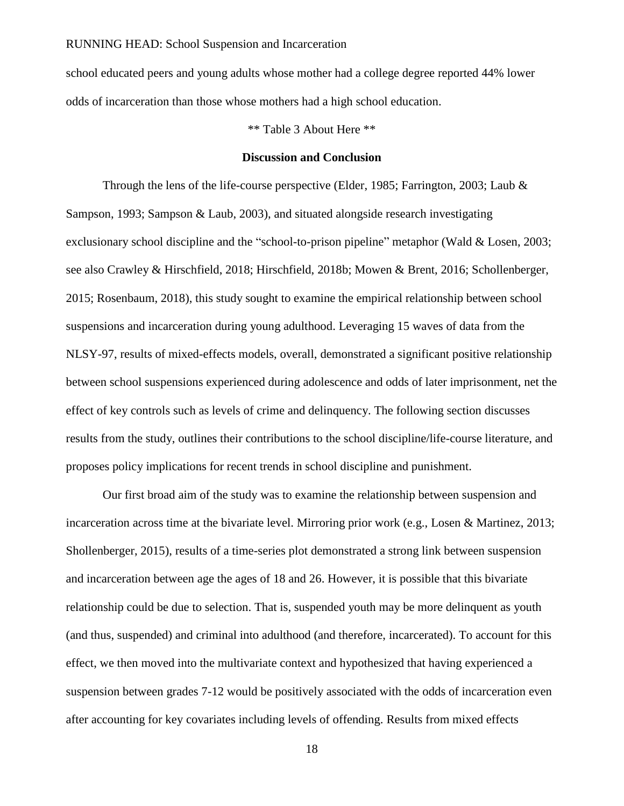school educated peers and young adults whose mother had a college degree reported 44% lower odds of incarceration than those whose mothers had a high school education.

\*\* Table 3 About Here \*\*

# **Discussion and Conclusion**

Through the lens of the life-course perspective (Elder, 1985; Farrington, 2003; Laub  $\&$ Sampson, 1993; Sampson & Laub, 2003), and situated alongside research investigating exclusionary school discipline and the "school-to-prison pipeline" metaphor (Wald & Losen, 2003; see also Crawley & Hirschfield, 2018; Hirschfield, 2018b; Mowen & Brent, 2016; Schollenberger, 2015; Rosenbaum, 2018), this study sought to examine the empirical relationship between school suspensions and incarceration during young adulthood. Leveraging 15 waves of data from the NLSY-97, results of mixed-effects models, overall, demonstrated a significant positive relationship between school suspensions experienced during adolescence and odds of later imprisonment, net the effect of key controls such as levels of crime and delinquency. The following section discusses results from the study, outlines their contributions to the school discipline/life-course literature, and proposes policy implications for recent trends in school discipline and punishment.

Our first broad aim of the study was to examine the relationship between suspension and incarceration across time at the bivariate level. Mirroring prior work (e.g., Losen & Martinez, 2013; Shollenberger, 2015), results of a time-series plot demonstrated a strong link between suspension and incarceration between age the ages of 18 and 26. However, it is possible that this bivariate relationship could be due to selection. That is, suspended youth may be more delinquent as youth (and thus, suspended) and criminal into adulthood (and therefore, incarcerated). To account for this effect, we then moved into the multivariate context and hypothesized that having experienced a suspension between grades 7-12 would be positively associated with the odds of incarceration even after accounting for key covariates including levels of offending. Results from mixed effects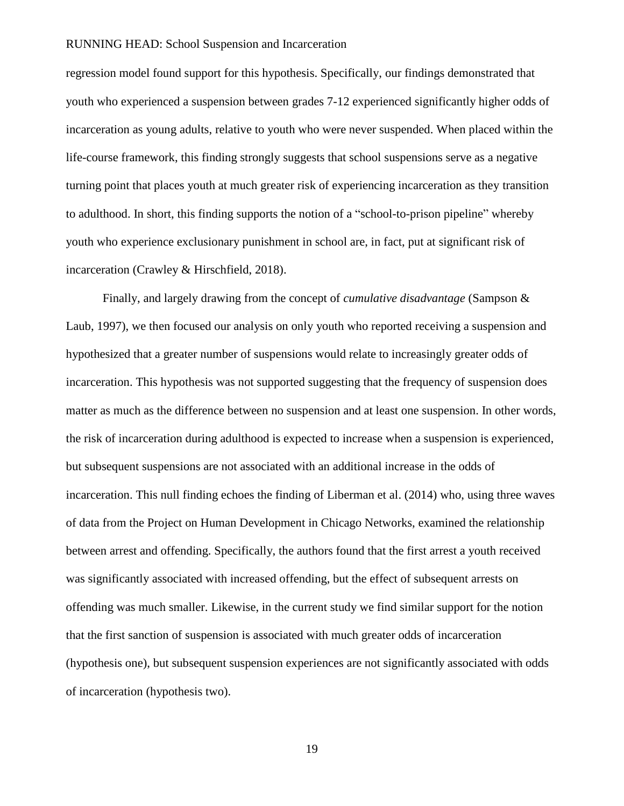regression model found support for this hypothesis. Specifically, our findings demonstrated that youth who experienced a suspension between grades 7-12 experienced significantly higher odds of incarceration as young adults, relative to youth who were never suspended. When placed within the life-course framework, this finding strongly suggests that school suspensions serve as a negative turning point that places youth at much greater risk of experiencing incarceration as they transition to adulthood. In short, this finding supports the notion of a "school-to-prison pipeline" whereby youth who experience exclusionary punishment in school are, in fact, put at significant risk of incarceration (Crawley & Hirschfield, 2018).

Finally, and largely drawing from the concept of *cumulative disadvantage* (Sampson & Laub, 1997), we then focused our analysis on only youth who reported receiving a suspension and hypothesized that a greater number of suspensions would relate to increasingly greater odds of incarceration. This hypothesis was not supported suggesting that the frequency of suspension does matter as much as the difference between no suspension and at least one suspension. In other words, the risk of incarceration during adulthood is expected to increase when a suspension is experienced, but subsequent suspensions are not associated with an additional increase in the odds of incarceration. This null finding echoes the finding of Liberman et al. (2014) who, using three waves of data from the Project on Human Development in Chicago Networks, examined the relationship between arrest and offending. Specifically, the authors found that the first arrest a youth received was significantly associated with increased offending, but the effect of subsequent arrests on offending was much smaller. Likewise, in the current study we find similar support for the notion that the first sanction of suspension is associated with much greater odds of incarceration (hypothesis one), but subsequent suspension experiences are not significantly associated with odds of incarceration (hypothesis two).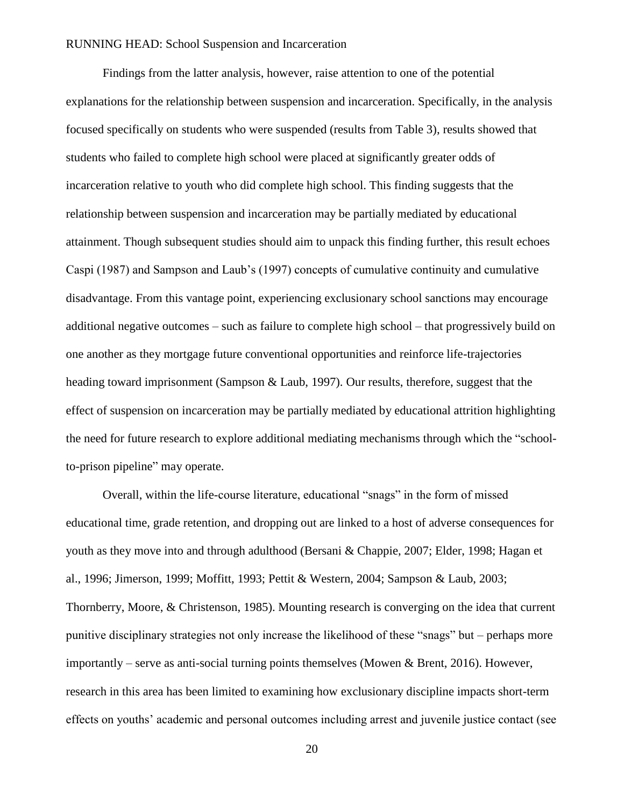Findings from the latter analysis, however, raise attention to one of the potential explanations for the relationship between suspension and incarceration. Specifically, in the analysis focused specifically on students who were suspended (results from Table 3), results showed that students who failed to complete high school were placed at significantly greater odds of incarceration relative to youth who did complete high school. This finding suggests that the relationship between suspension and incarceration may be partially mediated by educational attainment. Though subsequent studies should aim to unpack this finding further, this result echoes Caspi (1987) and Sampson and Laub's (1997) concepts of cumulative continuity and cumulative disadvantage. From this vantage point, experiencing exclusionary school sanctions may encourage additional negative outcomes – such as failure to complete high school – that progressively build on one another as they mortgage future conventional opportunities and reinforce life-trajectories heading toward imprisonment (Sampson & Laub, 1997). Our results, therefore, suggest that the effect of suspension on incarceration may be partially mediated by educational attrition highlighting the need for future research to explore additional mediating mechanisms through which the "schoolto-prison pipeline" may operate.

Overall, within the life-course literature, educational "snags" in the form of missed educational time, grade retention, and dropping out are linked to a host of adverse consequences for youth as they move into and through adulthood (Bersani & Chappie, 2007; Elder, 1998; Hagan et al., 1996; Jimerson, 1999; Moffitt, 1993; Pettit & Western, 2004; Sampson & Laub, 2003; Thornberry, Moore, & Christenson, 1985). Mounting research is converging on the idea that current punitive disciplinary strategies not only increase the likelihood of these "snags" but – perhaps more importantly – serve as anti-social turning points themselves (Mowen & Brent, 2016). However, research in this area has been limited to examining how exclusionary discipline impacts short-term effects on youths' academic and personal outcomes including arrest and juvenile justice contact (see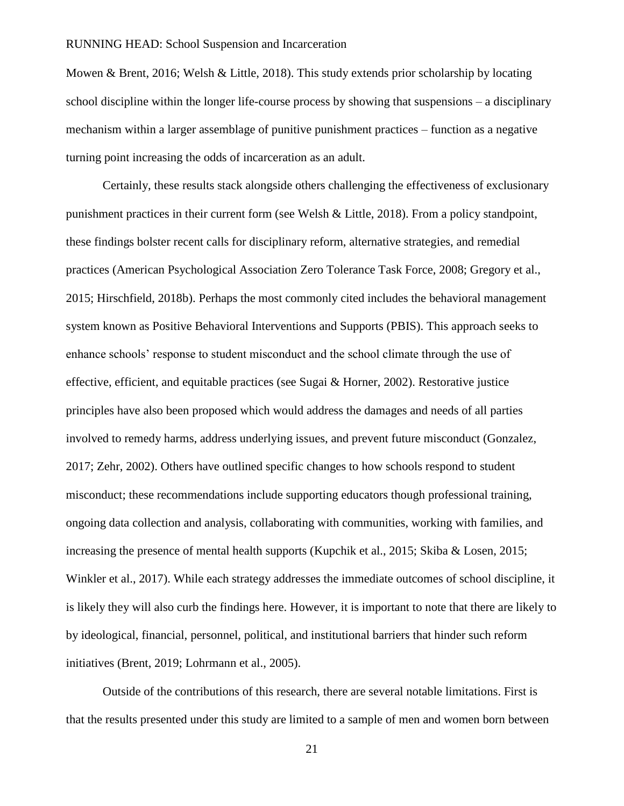Mowen & Brent, 2016; Welsh & Little, 2018). This study extends prior scholarship by locating school discipline within the longer life-course process by showing that suspensions – a disciplinary mechanism within a larger assemblage of punitive punishment practices – function as a negative turning point increasing the odds of incarceration as an adult.

Certainly, these results stack alongside others challenging the effectiveness of exclusionary punishment practices in their current form (see Welsh & Little, 2018). From a policy standpoint, these findings bolster recent calls for disciplinary reform, alternative strategies, and remedial practices (American Psychological Association Zero Tolerance Task Force, 2008; Gregory et al., 2015; Hirschfield, 2018b). Perhaps the most commonly cited includes the behavioral management system known as Positive Behavioral Interventions and Supports (PBIS). This approach seeks to enhance schools' response to student misconduct and the school climate through the use of effective, efficient, and equitable practices (see Sugai & Horner, 2002). Restorative justice principles have also been proposed which would address the damages and needs of all parties involved to remedy harms, address underlying issues, and prevent future misconduct (Gonzalez, 2017; Zehr, 2002). Others have outlined specific changes to how schools respond to student misconduct; these recommendations include supporting educators though professional training, ongoing data collection and analysis, collaborating with communities, working with families, and increasing the presence of mental health supports (Kupchik et al., 2015; Skiba & Losen, 2015; Winkler et al., 2017). While each strategy addresses the immediate outcomes of school discipline, it is likely they will also curb the findings here. However, it is important to note that there are likely to by ideological, financial, personnel, political, and institutional barriers that hinder such reform initiatives (Brent, 2019; Lohrmann et al., 2005).

Outside of the contributions of this research, there are several notable limitations. First is that the results presented under this study are limited to a sample of men and women born between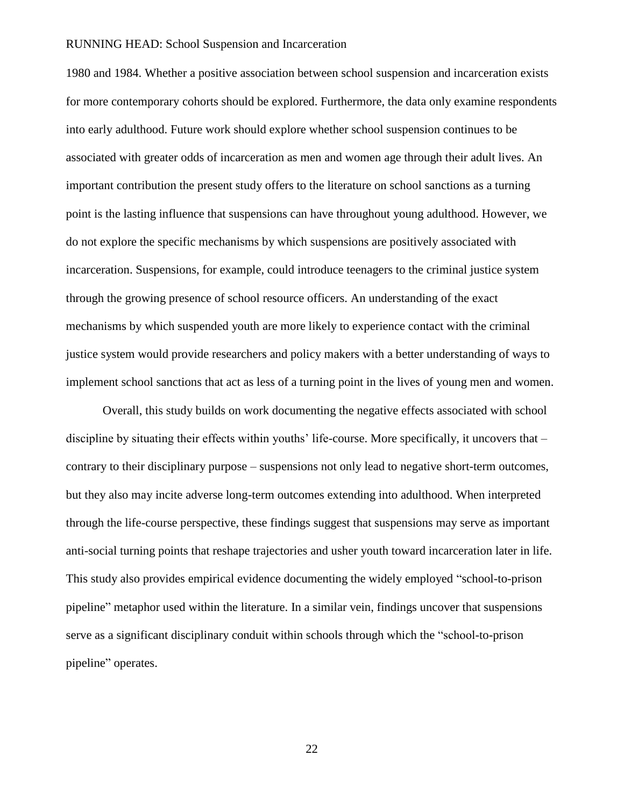1980 and 1984. Whether a positive association between school suspension and incarceration exists for more contemporary cohorts should be explored. Furthermore, the data only examine respondents into early adulthood. Future work should explore whether school suspension continues to be associated with greater odds of incarceration as men and women age through their adult lives. An important contribution the present study offers to the literature on school sanctions as a turning point is the lasting influence that suspensions can have throughout young adulthood. However, we do not explore the specific mechanisms by which suspensions are positively associated with incarceration. Suspensions, for example, could introduce teenagers to the criminal justice system through the growing presence of school resource officers. An understanding of the exact mechanisms by which suspended youth are more likely to experience contact with the criminal justice system would provide researchers and policy makers with a better understanding of ways to implement school sanctions that act as less of a turning point in the lives of young men and women.

Overall, this study builds on work documenting the negative effects associated with school discipline by situating their effects within youths' life-course. More specifically, it uncovers that – contrary to their disciplinary purpose – suspensions not only lead to negative short-term outcomes, but they also may incite adverse long-term outcomes extending into adulthood. When interpreted through the life-course perspective, these findings suggest that suspensions may serve as important anti-social turning points that reshape trajectories and usher youth toward incarceration later in life. This study also provides empirical evidence documenting the widely employed "school-to-prison pipeline" metaphor used within the literature. In a similar vein, findings uncover that suspensions serve as a significant disciplinary conduit within schools through which the "school-to-prison pipeline" operates.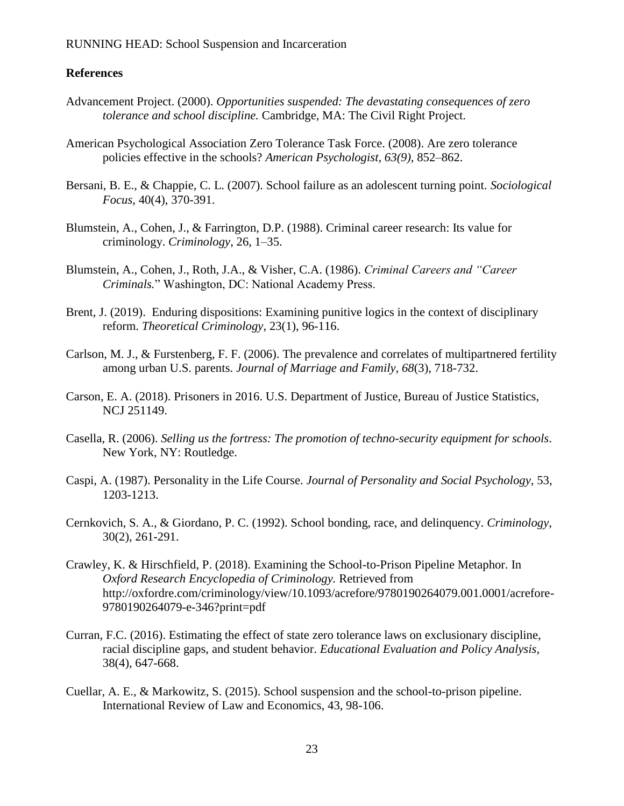### **References**

- Advancement Project. (2000). *Opportunities suspended: The devastating consequences of zero tolerance and school discipline.* Cambridge, MA: The Civil Right Project.
- American Psychological Association Zero Tolerance Task Force. (2008). Are zero tolerance policies effective in the schools? *American Psychologist, 63(9),* 852–862.
- Bersani, B. E., & Chappie, C. L. (2007). School failure as an adolescent turning point. *Sociological Focus*, 40(4), 370-391.
- Blumstein, A., Cohen, J., & Farrington, D.P. (1988). Criminal career research: Its value for criminology. *Criminology*, 26, 1–35.
- Blumstein, A., Cohen, J., Roth, J.A., & Visher, C.A. (1986). *Criminal Careers and "Career Criminals.*" Washington, DC: National Academy Press.
- Brent, J. (2019). Enduring dispositions: Examining punitive logics in the context of disciplinary reform. *Theoretical Criminology*, 23(1), 96-116.
- Carlson, M. J., & Furstenberg, F. F. (2006). The prevalence and correlates of multipartnered fertility among urban U.S. parents. *Journal of Marriage and Family, 68*(3), 718-732.
- Carson, E. A. (2018). Prisoners in 2016. U.S. Department of Justice, Bureau of Justice Statistics, NCJ 251149.
- Casella, R. (2006). *Selling us the fortress: The promotion of techno-security equipment for schools*. New York, NY: Routledge.
- Caspi, A. (1987). Personality in the Life Course. *Journal of Personality and Social Psychology,* 53, 1203-1213.
- Cernkovich, S. A., & Giordano, P. C. (1992). School bonding, race, and delinquency. *Criminology*, 30(2), 261-291.
- Crawley, K. & Hirschfield, P. (2018). Examining the School-to-Prison Pipeline Metaphor. In *Oxford Research Encyclopedia of Criminology.* Retrieved from http://oxfordre.com/criminology/view/10.1093/acrefore/9780190264079.001.0001/acrefore-9780190264079-e-346?print=pdf
- Curran, F.C. (2016). Estimating the effect of state zero tolerance laws on exclusionary discipline, racial discipline gaps, and student behavior. *Educational Evaluation and Policy Analysis*, 38(4), 647-668.
- Cuellar, A. E., & Markowitz, S. (2015). School suspension and the school-to-prison pipeline. International Review of Law and Economics, 43, 98-106.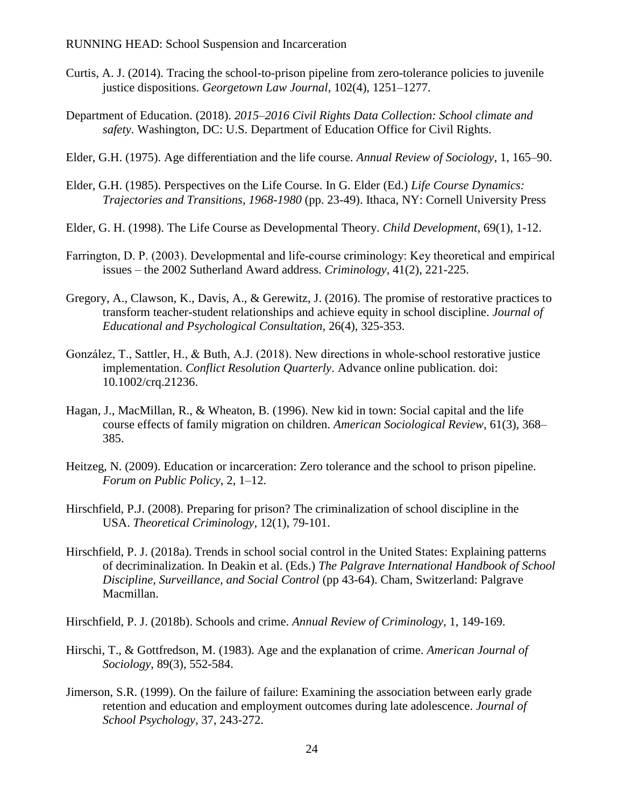- Curtis, A. J. (2014). Tracing the school-to-prison pipeline from zero-tolerance policies to juvenile justice dispositions. *Georgetown Law Journal*, 102(4), 1251–1277.
- Department of Education. (2018). *2015–2016 Civil Rights Data Collection: School climate and safety*. Washington, DC: U.S. Department of Education Office for Civil Rights.
- Elder, G.H. (1975). Age differentiation and the life course. *Annual Review of Sociology*, 1, 165–90.
- Elder, G.H. (1985). Perspectives on the Life Course. In G. Elder (Ed.) *Life Course Dynamics: Trajectories and Transitions, 1968-1980* (pp. 23-49). Ithaca, NY: Cornell University Press
- Elder, G. H. (1998). The Life Course as Developmental Theory. *Child Development,* 69(1), 1-12.
- Farrington, D. P. (2003). Developmental and life‐course criminology: Key theoretical and empirical issues – the 2002 Sutherland Award address. *Criminology*, 41(2), 221-225.
- Gregory, A., Clawson, K., Davis, A., & Gerewitz, J. (2016). The promise of restorative practices to transform teacher-student relationships and achieve equity in school discipline. *Journal of Educational and Psychological Consultation*, 26(4), 325-353.
- González, T., Sattler, H., & Buth, A.J. (2018). New directions in whole‐school restorative justice implementation. *Conflict Resolution Quarterly*. Advance online publication. doi: 10.1002/crq.21236.
- Hagan, J., MacMillan, R., & Wheaton, B. (1996). New kid in town: Social capital and the life course effects of family migration on children. *American Sociological Review*, 61(3), 368– 385.
- Heitzeg, N. (2009). Education or incarceration: Zero tolerance and the school to prison pipeline. *Forum on Public Policy*, 2, 1–12.
- Hirschfield, P.J. (2008). Preparing for prison? The criminalization of school discipline in the USA. *Theoretical Criminology,* 12(1), 79-101.
- Hirschfield, P. J. (2018a). Trends in school social control in the United States: Explaining patterns of decriminalization. In Deakin et al. (Eds.) *The Palgrave International Handbook of School Discipline, Surveillance, and Social Control* (pp 43-64). Cham, Switzerland: Palgrave Macmillan.

Hirschfield, P. J. (2018b). Schools and crime. *Annual Review of Criminology*, 1, 149-169.

- Hirschi, T., & Gottfredson, M. (1983). Age and the explanation of crime. *American Journal of Sociology*, 89(3), 552-584.
- Jimerson, S.R. (1999). On the failure of failure: Examining the association between early grade retention and education and employment outcomes during late adolescence. *Journal of School Psychology,* 37, 243-272.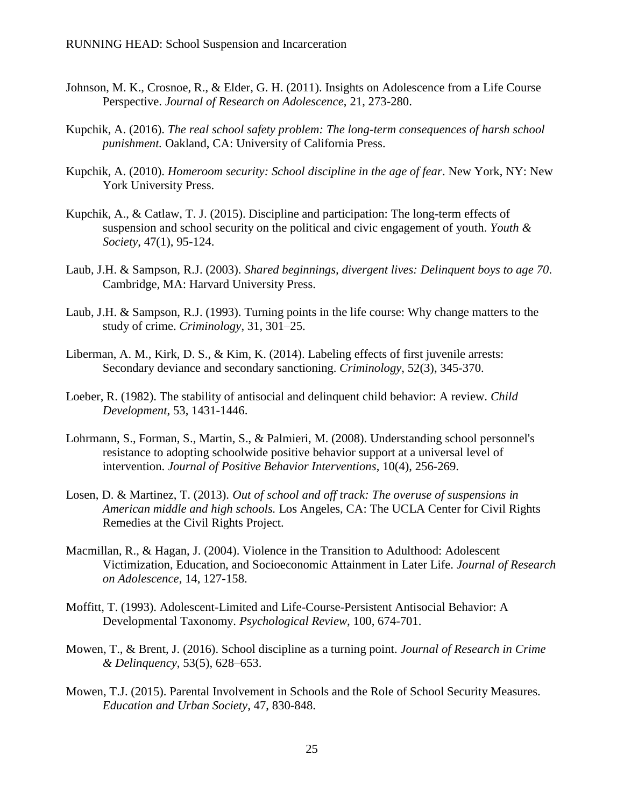- Johnson, M. K., Crosnoe, R., & Elder, G. H. (2011). Insights on Adolescence from a Life Course Perspective. *Journal of Research on Adolescence*, 21, 273-280.
- Kupchik, A. (2016). *The real school safety problem: The long-term consequences of harsh school punishment.* Oakland, CA: University of California Press.
- Kupchik, A. (2010). *Homeroom security: School discipline in the age of fear*. New York, NY: New York University Press.
- Kupchik, A., & Catlaw, T. J. (2015). Discipline and participation: The long-term effects of suspension and school security on the political and civic engagement of youth. *Youth & Society*, 47(1), 95-124.
- Laub, J.H. & Sampson, R.J. (2003). *Shared beginnings, divergent lives: Delinquent boys to age 70*. Cambridge, MA: Harvard University Press.
- Laub, J.H. & Sampson, R.J. (1993). Turning points in the life course: Why change matters to the study of crime. *Criminology*, 31, 301–25.
- Liberman, A. M., Kirk, D. S., & Kim, K. (2014). Labeling effects of first juvenile arrests: Secondary deviance and secondary sanctioning. *Criminology*, 52(3), 345-370.
- Loeber, R. (1982). The stability of antisocial and delinquent child behavior: A review. *Child Development*, 53, 1431-1446.
- Lohrmann, S., Forman, S., Martin, S., & Palmieri, M. (2008). Understanding school personnel's resistance to adopting schoolwide positive behavior support at a universal level of intervention. *Journal of Positive Behavior Interventions*, 10(4), 256-269.
- Losen, D. & Martinez, T. (2013). *Out of school and off track: The overuse of suspensions in American middle and high schools.* Los Angeles, CA: The UCLA Center for Civil Rights Remedies at the Civil Rights Project.
- Macmillan, R., & Hagan, J. (2004). Violence in the Transition to Adulthood: Adolescent Victimization, Education, and Socioeconomic Attainment in Later Life. *Journal of Research on Adolescence*, 14, 127-158.
- Moffitt, T. (1993). Adolescent-Limited and Life-Course-Persistent Antisocial Behavior: A Developmental Taxonomy. *Psychological Review,* 100, 674-701.
- Mowen, T., & Brent, J. (2016). School discipline as a turning point. *Journal of Research in Crime & Delinquency*, 53(5), 628–653.
- Mowen, T.J. (2015). Parental Involvement in Schools and the Role of School Security Measures. *Education and Urban Society*, 47, 830-848.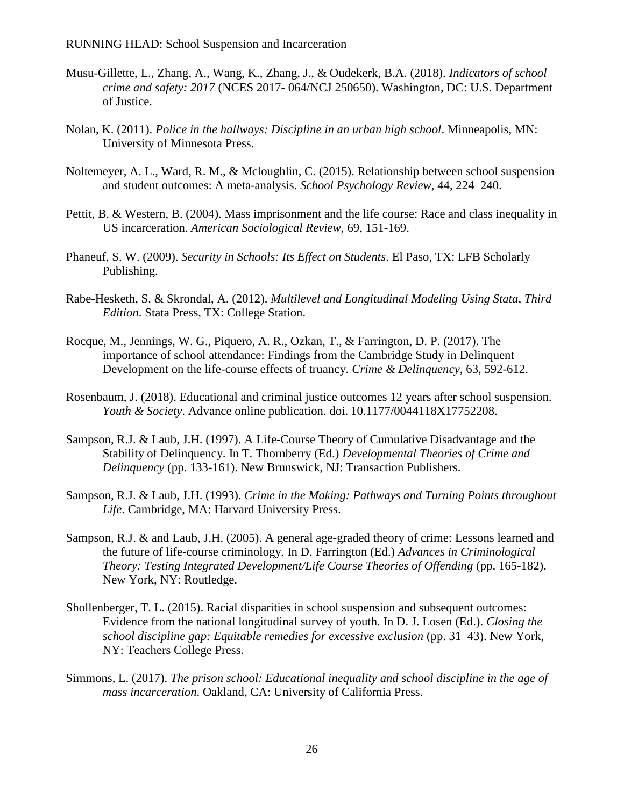- Musu-Gillette, L., Zhang, A., Wang, K., Zhang, J., & Oudekerk, B.A. (2018). *Indicators of school crime and safety: 2017* (NCES 2017- 064/NCJ 250650). Washington, DC: U.S. Department of Justice.
- Nolan, K. (2011). *Police in the hallways: Discipline in an urban high school*. Minneapolis, MN: University of Minnesota Press.
- Noltemeyer, A. L., Ward, R. M., & Mcloughlin, C. (2015). Relationship between school suspension and student outcomes: A meta-analysis. *School Psychology Review*, 44, 224–240.
- Pettit, B. & Western, B. (2004). Mass imprisonment and the life course: Race and class inequality in US incarceration. *American Sociological Review,* 69, 151-169.
- Phaneuf, S. W. (2009). *Security in Schools: Its Effect on Students*. El Paso, TX: LFB Scholarly Publishing.
- Rabe-Hesketh, S. & Skrondal, A. (2012). *Multilevel and Longitudinal Modeling Using Stata, Third Edition*. Stata Press, TX: College Station.
- Rocque, M., Jennings, W. G., Piquero, A. R., Ozkan, T., & Farrington, D. P. (2017). The importance of school attendance: Findings from the Cambridge Study in Delinquent Development on the life-course effects of truancy. *Crime & Delinquency*, 63, 592-612.
- Rosenbaum, J. (2018). Educational and criminal justice outcomes 12 years after school suspension. *Youth & Society*. Advance online publication. doi. 10.1177/0044118X17752208.
- Sampson, R.J. & Laub, J.H. (1997). A Life-Course Theory of Cumulative Disadvantage and the Stability of Delinquency. In T. Thornberry (Ed.) *Developmental Theories of Crime and Delinquency* (pp. 133-161). New Brunswick, NJ: Transaction Publishers.
- Sampson, R.J. & Laub, J.H. (1993). *Crime in the Making: Pathways and Turning Points throughout Life*. Cambridge, MA: Harvard University Press.
- Sampson, R.J. & and Laub, J.H. (2005). A general age-graded theory of crime: Lessons learned and the future of life-course criminology. In D. Farrington (Ed.) *Advances in Criminological Theory: Testing Integrated Development/Life Course Theories of Offending* (pp. 165-182). New York, NY: Routledge.
- Shollenberger, T. L. (2015). Racial disparities in school suspension and subsequent outcomes: Evidence from the national longitudinal survey of youth. In D. J. Losen (Ed.). *Closing the school discipline gap: Equitable remedies for excessive exclusion* (pp. 31–43). New York, NY: Teachers College Press.
- Simmons, L. (2017). *The prison school: Educational inequality and school discipline in the age of mass incarceration*. Oakland, CA: University of California Press.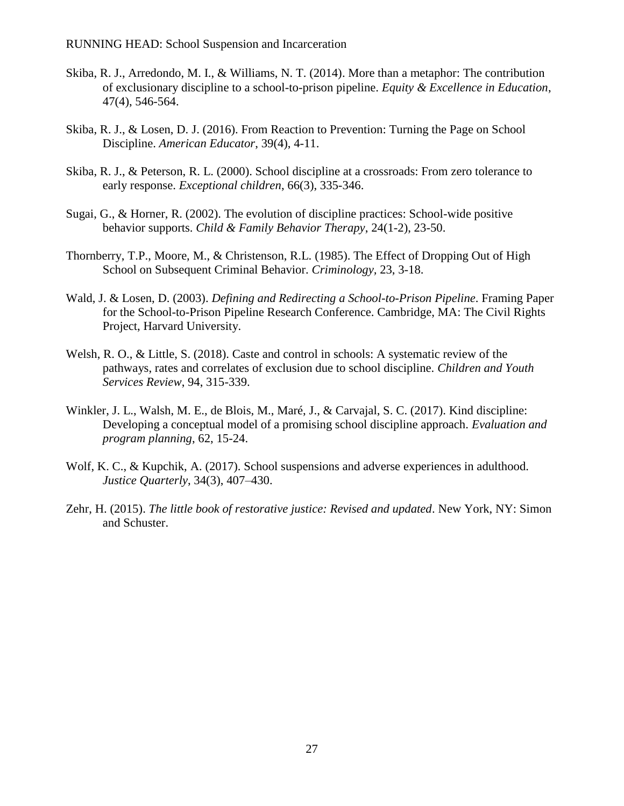- Skiba, R. J., Arredondo, M. I., & Williams, N. T. (2014). More than a metaphor: The contribution of exclusionary discipline to a school-to-prison pipeline. *Equity & Excellence in Education*, 47(4), 546-564.
- Skiba, R. J., & Losen, D. J. (2016). From Reaction to Prevention: Turning the Page on School Discipline. *American Educator*, 39(4), 4-11.
- Skiba, R. J., & Peterson, R. L. (2000). School discipline at a crossroads: From zero tolerance to early response. *Exceptional children*, 66(3), 335-346.
- Sugai, G., & Horner, R. (2002). The evolution of discipline practices: School-wide positive behavior supports. *Child & Family Behavior Therapy*, 24(1-2), 23-50.
- Thornberry, T.P., Moore, M., & Christenson, R.L. (1985). The Effect of Dropping Out of High School on Subsequent Criminal Behavior. *Criminology,* 23, 3-18.
- Wald, J. & Losen, D. (2003). *Defining and Redirecting a School-to-Prison Pipeline*. Framing Paper for the School-to-Prison Pipeline Research Conference. Cambridge, MA: The Civil Rights Project, Harvard University.
- Welsh, R. O., & Little, S. (2018). Caste and control in schools: A systematic review of the pathways, rates and correlates of exclusion due to school discipline. *Children and Youth Services Review*, 94, 315-339.
- Winkler, J. L., Walsh, M. E., de Blois, M., Maré, J., & Carvajal, S. C. (2017). Kind discipline: Developing a conceptual model of a promising school discipline approach. *Evaluation and program planning*, 62, 15-24.
- Wolf, K. C., & Kupchik, A. (2017). School suspensions and adverse experiences in adulthood. *Justice Quarterly*, 34(3), 407–430.
- Zehr, H. (2015). *The little book of restorative justice: Revised and updated*. New York, NY: Simon and Schuster.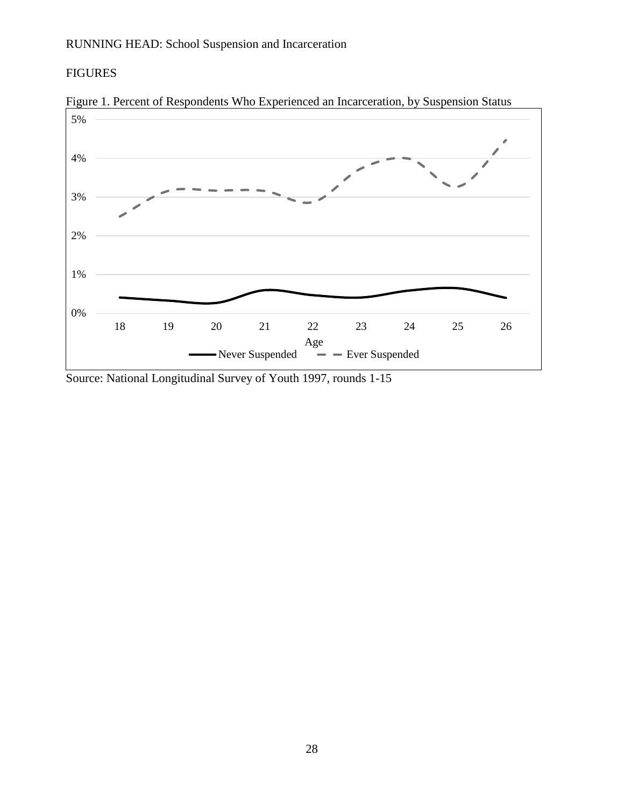# FIGURES



Figure 1. Percent of Respondents Who Experienced an Incarceration, by Suspension Status

Source: National Longitudinal Survey of Youth 1997, rounds 1-15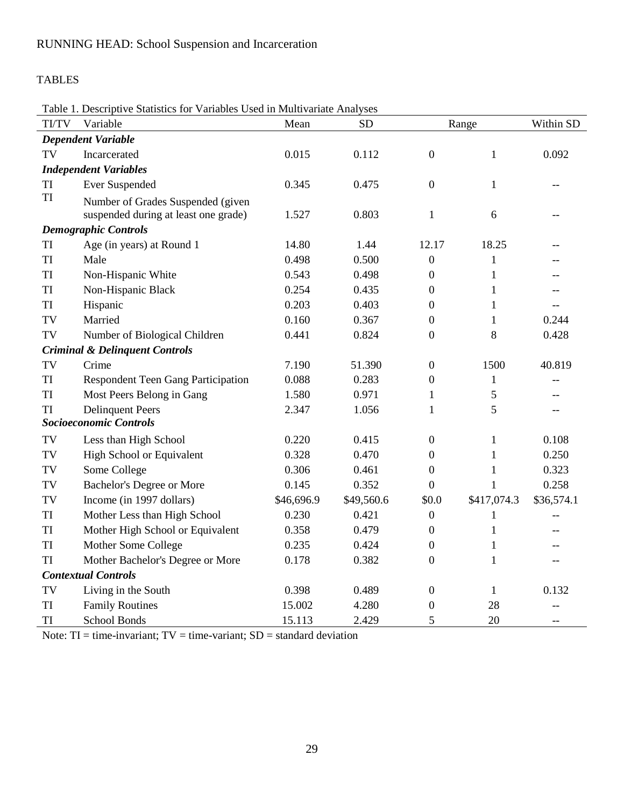# TABLES

Table 1. Descriptive Statistics for Variables Used in Multivariate Analyses

| <b>TI/TV</b> | Variable                                                                  | Mean       | <b>SD</b>  | Range            |              | Within SD                |  |
|--------------|---------------------------------------------------------------------------|------------|------------|------------------|--------------|--------------------------|--|
|              | <b>Dependent Variable</b>                                                 |            |            |                  |              |                          |  |
| TV           | Incarcerated                                                              | 0.015      | 0.112      | $\boldsymbol{0}$ | $\mathbf{1}$ | 0.092                    |  |
|              | <b>Independent Variables</b>                                              |            |            |                  |              |                          |  |
| TI           | <b>Ever Suspended</b>                                                     | 0.345      | 0.475      | $\overline{0}$   | 1            | --                       |  |
| TI           | Number of Grades Suspended (given<br>suspended during at least one grade) | 1.527      | 0.803      | $\mathbf{1}$     | 6            |                          |  |
|              | <b>Demographic Controls</b>                                               |            |            |                  |              |                          |  |
| TI           | Age (in years) at Round 1                                                 | 14.80      | 1.44       | 12.17            | 18.25        |                          |  |
| TI           | Male                                                                      | 0.498      | 0.500      | $\boldsymbol{0}$ | $\mathbf{1}$ |                          |  |
| TI           | Non-Hispanic White                                                        | 0.543      | 0.498      | $\boldsymbol{0}$ | $\mathbf{1}$ |                          |  |
| TI           | Non-Hispanic Black                                                        | 0.254      | 0.435      | $\mathbf{0}$     | $\mathbf{1}$ |                          |  |
| TI           | Hispanic                                                                  | 0.203      | 0.403      | $\boldsymbol{0}$ | 1            | $-$                      |  |
| TV           | Married                                                                   | 0.160      | 0.367      | $\boldsymbol{0}$ | $\mathbf{1}$ | 0.244                    |  |
| TV           | Number of Biological Children                                             | 0.441      | 0.824      | $\overline{0}$   | 8            | 0.428                    |  |
|              | <b>Criminal &amp; Delinquent Controls</b>                                 |            |            |                  |              |                          |  |
| TV           | Crime                                                                     | 7.190      | 51.390     | $\mathbf{0}$     | 1500         | 40.819                   |  |
| TI           | <b>Respondent Teen Gang Participation</b>                                 | 0.088      | 0.283      | $\boldsymbol{0}$ | 1            |                          |  |
| TI           | Most Peers Belong in Gang                                                 | 1.580      | 0.971      | 1                | 5            |                          |  |
| TI           | <b>Delinquent Peers</b>                                                   | 2.347      | 1.056      | 1                | 5            |                          |  |
|              | <b>Socioeconomic Controls</b>                                             |            |            |                  |              |                          |  |
| TV           | Less than High School                                                     | 0.220      | 0.415      | $\mathbf{0}$     | $\mathbf{1}$ | 0.108                    |  |
| TV           | High School or Equivalent                                                 | 0.328      | 0.470      | $\boldsymbol{0}$ | $\mathbf{1}$ | 0.250                    |  |
| TV           | Some College                                                              | 0.306      | 0.461      | $\mathbf{0}$     | 1            | 0.323                    |  |
| TV           | <b>Bachelor's Degree or More</b>                                          | 0.145      | 0.352      | $\overline{0}$   | 1            | 0.258                    |  |
| TV           | Income (in 1997 dollars)                                                  | \$46,696.9 | \$49,560.6 | \$0.0            | \$417,074.3  | \$36,574.1               |  |
| TI           | Mother Less than High School                                              | 0.230      | 0.421      | $\boldsymbol{0}$ | 1            | $\overline{\phantom{a}}$ |  |
| TI           | Mother High School or Equivalent                                          | 0.358      | 0.479      | $\mathbf{0}$     | 1            |                          |  |
| TI           | Mother Some College                                                       | 0.235      | 0.424      | $\boldsymbol{0}$ | $\mathbf{1}$ |                          |  |
| TI           | Mother Bachelor's Degree or More                                          | 0.178      | 0.382      | $\overline{0}$   | $\mathbf{1}$ |                          |  |
|              | <b>Contextual Controls</b>                                                |            |            |                  |              |                          |  |
| TV           | Living in the South                                                       | 0.398      | 0.489      | $\mathbf{0}$     | 1            | 0.132                    |  |
| TI           | <b>Family Routines</b>                                                    | 15.002     | 4.280      | $\boldsymbol{0}$ | 28           |                          |  |
| TI           | <b>School Bonds</b>                                                       | 15.113     | 2.429      | 5                | 20           | $-$                      |  |

Note:  $TI = time-invariant$ ;  $TV = time-variant$ ;  $SD = standard deviation$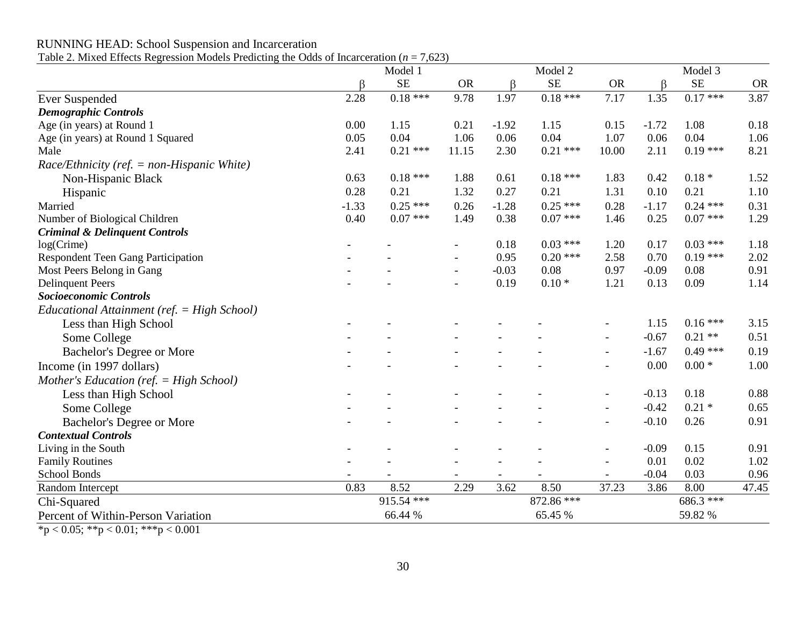Table 2. Mixed Effects Regression Models Predicting the Odds of Incarceration ( $n = 7,623$ )

|                                                 |         | Model 1    |           |                          | Model 2    |                          |         | Model 3    |           |  |
|-------------------------------------------------|---------|------------|-----------|--------------------------|------------|--------------------------|---------|------------|-----------|--|
|                                                 | ß       | <b>SE</b>  | <b>OR</b> | $\beta$                  | <b>SE</b>  | <b>OR</b>                | $\beta$ | <b>SE</b>  | <b>OR</b> |  |
| <b>Ever Suspended</b>                           | 2.28    | $0.18***$  | 9.78      | 1.97                     | $0.18***$  | 7.17                     | 1.35    | $0.17***$  | 3.87      |  |
| <b>Demographic Controls</b>                     |         |            |           |                          |            |                          |         |            |           |  |
| Age (in years) at Round 1                       | 0.00    | 1.15       | 0.21      | $-1.92$                  | 1.15       | 0.15                     | $-1.72$ | 1.08       | 0.18      |  |
| Age (in years) at Round 1 Squared               | 0.05    | 0.04       | 1.06      | 0.06                     | 0.04       | 1.07                     | 0.06    | 0.04       | 1.06      |  |
| Male                                            | 2.41    | $0.21$ *** | 11.15     | 2.30                     | $0.21$ *** | 10.00                    | 2.11    | $0.19***$  | 8.21      |  |
| $Race/Ethnicity$ (ref. = non-Hispanic White)    |         |            |           |                          |            |                          |         |            |           |  |
| Non-Hispanic Black                              | 0.63    | $0.18$ *** | 1.88      | 0.61                     | $0.18***$  | 1.83                     | 0.42    | $0.18*$    | 1.52      |  |
| Hispanic                                        | 0.28    | 0.21       | 1.32      | 0.27                     | 0.21       | 1.31                     | 0.10    | 0.21       | 1.10      |  |
| Married                                         | $-1.33$ | $0.25$ *** | 0.26      | $-1.28$                  | $0.25$ *** | 0.28                     | $-1.17$ | $0.24$ *** | 0.31      |  |
| Number of Biological Children                   | 0.40    | $0.07$ *** | 1.49      | 0.38                     | $0.07$ *** | 1.46                     | 0.25    | $0.07$ *** | 1.29      |  |
| <b>Criminal &amp; Delinquent Controls</b>       |         |            |           |                          |            |                          |         |            |           |  |
| $log(C$ rime)                                   |         |            |           | 0.18                     | $0.03$ *** | 1.20                     | 0.17    | $0.03$ *** | 1.18      |  |
| <b>Respondent Teen Gang Participation</b>       |         |            |           | 0.95                     | $0.20$ *** | 2.58                     | 0.70    | $0.19***$  | 2.02      |  |
| Most Peers Belong in Gang                       |         |            |           | $-0.03$                  | 0.08       | 0.97                     | $-0.09$ | 0.08       | 0.91      |  |
| <b>Delinquent Peers</b>                         |         |            |           | 0.19                     | $0.10*$    | 1.21                     | 0.13    | 0.09       | 1.14      |  |
| Socioeconomic Controls                          |         |            |           |                          |            |                          |         |            |           |  |
| Educational Attainment ( $ref. = High School$ ) |         |            |           |                          |            |                          |         |            |           |  |
| Less than High School                           |         |            |           |                          |            |                          | 1.15    | $0.16***$  | 3.15      |  |
| Some College                                    |         |            |           |                          |            | $\overline{\phantom{a}}$ | $-0.67$ | $0.21**$   | 0.51      |  |
| <b>Bachelor's Degree or More</b>                |         |            |           |                          |            | $\overline{\phantom{a}}$ | $-1.67$ | $0.49$ *** | 0.19      |  |
| Income (in 1997 dollars)                        |         |            |           |                          |            |                          | 0.00    | $0.00*$    | 1.00      |  |
| Mother's Education (ref. $=$ High School)       |         |            |           |                          |            |                          |         |            |           |  |
| Less than High School                           |         |            |           |                          |            | ۰                        | $-0.13$ | 0.18       | 0.88      |  |
| Some College                                    |         |            |           |                          |            | $\overline{\phantom{a}}$ | $-0.42$ | $0.21 *$   | 0.65      |  |
| <b>Bachelor's Degree or More</b>                |         |            |           |                          |            | $\overline{\phantom{0}}$ | $-0.10$ | 0.26       | 0.91      |  |
| <b>Contextual Controls</b>                      |         |            |           |                          |            |                          |         |            |           |  |
| Living in the South                             |         |            |           |                          |            |                          | $-0.09$ | 0.15       | 0.91      |  |
| <b>Family Routines</b>                          |         |            |           |                          |            |                          | 0.01    | 0.02       | 1.02      |  |
| School Bonds                                    |         |            |           | $\overline{\phantom{a}}$ |            | $\overline{\phantom{a}}$ | $-0.04$ | 0.03       | 0.96      |  |
| Random Intercept                                | 0.83    | 8.52       | 2.29      | 3.62                     | 8.50       | 37.23                    | 3.86    | 8.00       | 47.45     |  |
| Chi-Squared                                     |         | 915.54 *** |           |                          | 872.86 *** |                          |         | 686.3 ***  |           |  |
| Percent of Within-Person Variation              |         | 66.44 %    |           |                          | 65.45 %    |                          |         | 59.82 %    |           |  |
|                                                 |         |            |           |                          |            |                          |         |            |           |  |

\*p < 0.05; \*\*p < 0.01; \*\*\*p < 0.001